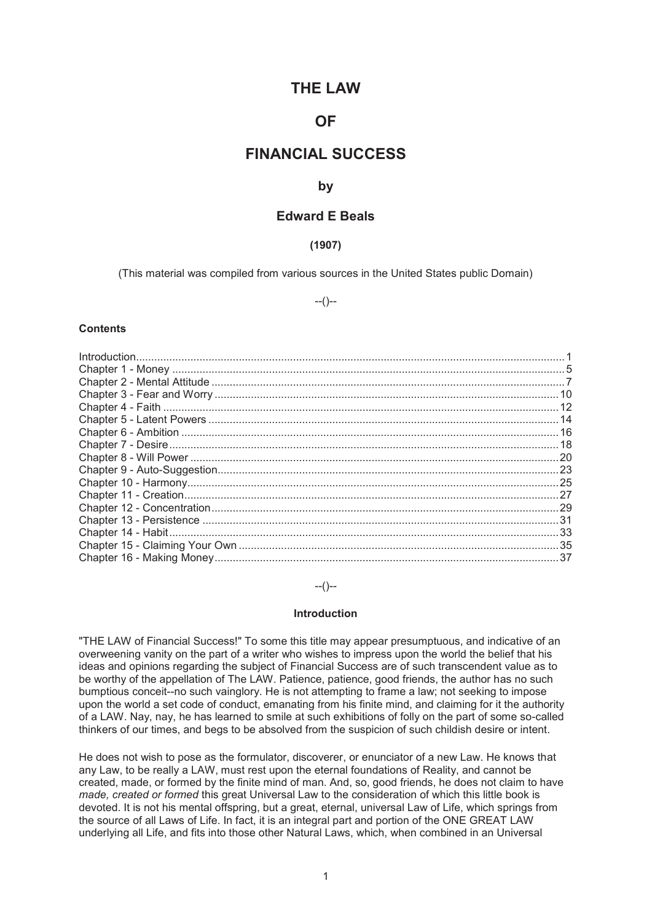# **THE LAW**

# **OF**

# **FINANCIAL SUCCESS**

# **by**

# **Edward E Beals**

# **(1907)**

(This material was compiled from various sources in the United States public Domain)

--()--

#### **Contents**

#### --()--

#### **Introduction**

"THE LAW of Financial Success!" To some this title may appear presumptuous, and indicative of an overweening vanity on the part of a writer who wishes to impress upon the world the belief that his ideas and opinions regarding the subject of Financial Success are of such transcendent value as to be worthy of the appellation of The LAW. Patience, patience, good friends, the author has no such bumptious conceit--no such vainglory. He is not attempting to frame a law; not seeking to impose upon the world a set code of conduct, emanating from his finite mind, and claiming for it the authority of a LAW. Nay, nay, he has learned to smile at such exhibitions of folly on the part of some so-called thinkers of our times, and begs to be absolved from the suspicion of such childish desire or intent.

He does not wish to pose as the formulator, discoverer, or enunciator of a new Law. He knows that any Law, to be really a LAW, must rest upon the eternal foundations of Reality, and cannot be created, made, or formed by the finite mind of man. And, so, good friends, he does not claim to have *made, created or formed* this great Universal Law to the consideration of which this little book is devoted. It is not his mental offspring, but a great, eternal, universal Law of Life, which springs from the source of all Laws of Life. In fact, it is an integral part and portion of the ONE GREAT LAW underlying all Life, and fits into those other Natural Laws, which, when combined in an Universal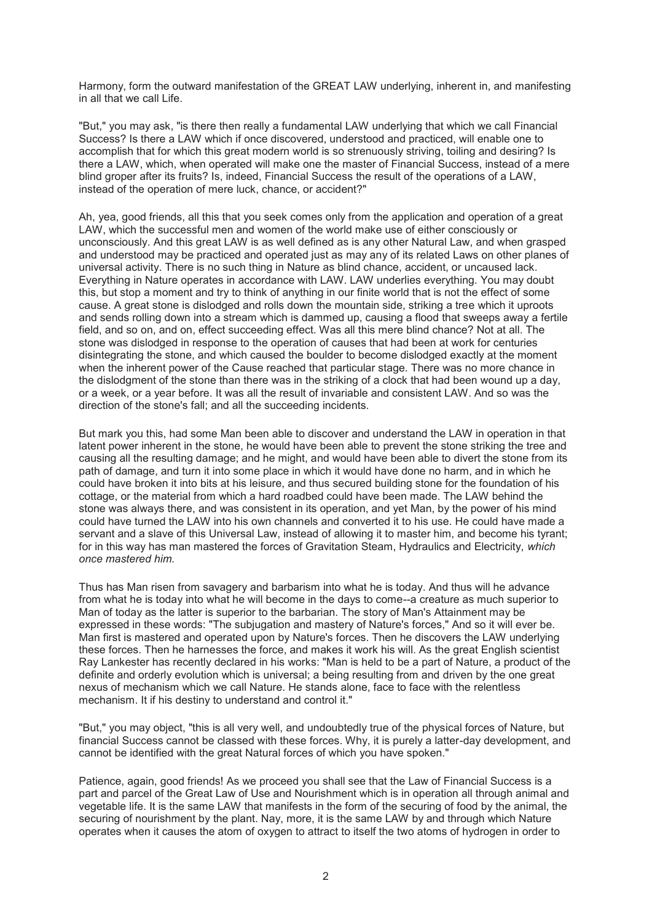Harmony, form the outward manifestation of the GREAT LAW underlying, inherent in, and manifesting in all that we call Life.

"But," you may ask, "is there then really a fundamental LAW underlying that which we call Financial Success? Is there a LAW which if once discovered, understood and practiced, will enable one to accomplish that for which this great modern world is so strenuously striving, toiling and desiring? Is there a LAW, which, when operated will make one the master of Financial Success, instead of a mere blind groper after its fruits? Is, indeed, Financial Success the result of the operations of a LAW, instead of the operation of mere luck, chance, or accident?"

Ah, yea, good friends, all this that you seek comes only from the application and operation of a great LAW, which the successful men and women of the world make use of either consciously or unconsciously. And this great LAW is as well defined as is any other Natural Law, and when grasped and understood may be practiced and operated just as may any of its related Laws on other planes of universal activity. There is no such thing in Nature as blind chance, accident, or uncaused lack. Everything in Nature operates in accordance with LAW. LAW underlies everything. You may doubt this, but stop a moment and try to think of anything in our finite world that is not the effect of some cause. A great stone is dislodged and rolls down the mountain side, striking a tree which it uproots and sends rolling down into a stream which is dammed up, causing a flood that sweeps away a fertile field, and so on, and on, effect succeeding effect. Was all this mere blind chance? Not at all. The stone was dislodged in response to the operation of causes that had been at work for centuries disintegrating the stone, and which caused the boulder to become dislodged exactly at the moment when the inherent power of the Cause reached that particular stage. There was no more chance in the dislodgment of the stone than there was in the striking of a clock that had been wound up a day, or a week, or a year before. It was all the result of invariable and consistent LAW. And so was the direction of the stone's fall; and all the succeeding incidents.

But mark you this, had some Man been able to discover and understand the LAW in operation in that latent power inherent in the stone, he would have been able to prevent the stone striking the tree and causing all the resulting damage; and he might, and would have been able to divert the stone from its path of damage, and turn it into some place in which it would have done no harm, and in which he could have broken it into bits at his leisure, and thus secured building stone for the foundation of his cottage, or the material from which a hard roadbed could have been made. The LAW behind the stone was always there, and was consistent in its operation, and yet Man, by the power of his mind could have turned the LAW into his own channels and converted it to his use. He could have made a servant and a slave of this Universal Law, instead of allowing it to master him, and become his tyrant; for in this way has man mastered the forces of Gravitation Steam, Hydraulics and Electricity, *which once mastered him.* 

Thus has Man risen from savagery and barbarism into what he is today. And thus will he advance from what he is today into what he will become in the days to come--a creature as much superior to Man of today as the latter is superior to the barbarian. The story of Man's Attainment may be expressed in these words: "The subjugation and mastery of Nature's forces," And so it will ever be. Man first is mastered and operated upon by Nature's forces. Then he discovers the LAW underlying these forces. Then he harnesses the force, and makes it work his will. As the great English scientist Ray Lankester has recently declared in his works: "Man is held to be a part of Nature, a product of the definite and orderly evolution which is universal; a being resulting from and driven by the one great nexus of mechanism which we call Nature. He stands alone, face to face with the relentless mechanism. It if his destiny to understand and control it."

"But," you may object, "this is all very well, and undoubtedly true of the physical forces of Nature, but financial Success cannot be classed with these forces. Why, it is purely a latter-day development, and cannot be identified with the great Natural forces of which you have spoken."

Patience, again, good friends! As we proceed you shall see that the Law of Financial Success is a part and parcel of the Great Law of Use and Nourishment which is in operation all through animal and vegetable life. It is the same LAW that manifests in the form of the securing of food by the animal, the securing of nourishment by the plant. Nay, more, it is the same LAW by and through which Nature operates when it causes the atom of oxygen to attract to itself the two atoms of hydrogen in order to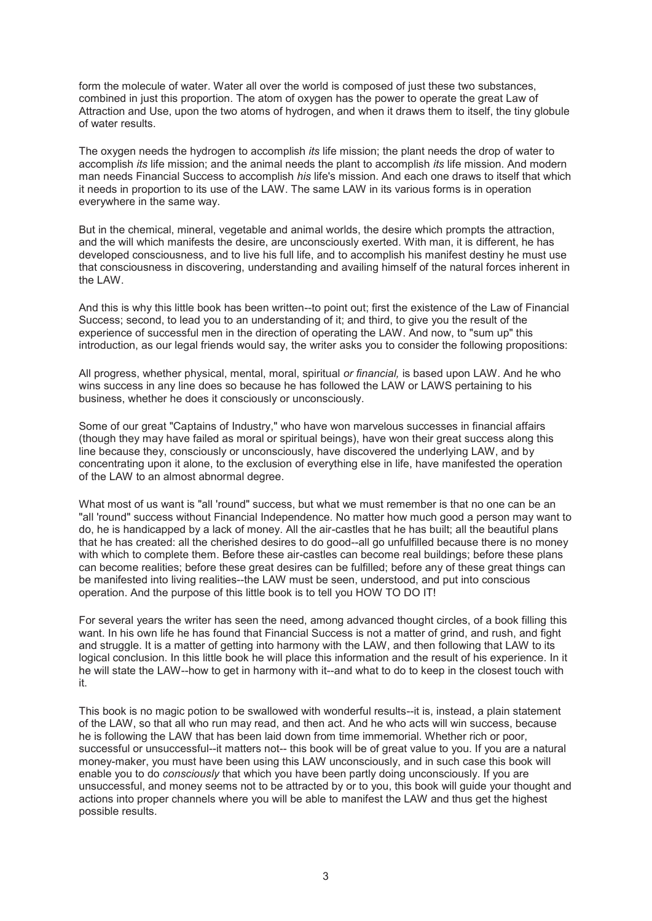form the molecule of water. Water all over the world is composed of just these two substances, combined in just this proportion. The atom of oxygen has the power to operate the great Law of Attraction and Use, upon the two atoms of hydrogen, and when it draws them to itself, the tiny globule of water results.

The oxygen needs the hydrogen to accomplish *its* life mission; the plant needs the drop of water to accomplish *its* life mission; and the animal needs the plant to accomplish *its* life mission. And modern man needs Financial Success to accomplish *his* life's mission. And each one draws to itself that which it needs in proportion to its use of the LAW. The same LAW in its various forms is in operation everywhere in the same way.

But in the chemical, mineral, vegetable and animal worlds, the desire which prompts the attraction, and the will which manifests the desire, are unconsciously exerted. With man, it is different, he has developed consciousness, and to live his full life, and to accomplish his manifest destiny he must use that consciousness in discovering, understanding and availing himself of the natural forces inherent in the LAW.

And this is why this little book has been written--to point out; first the existence of the Law of Financial Success; second, to lead you to an understanding of it; and third, to give you the result of the experience of successful men in the direction of operating the LAW. And now, to "sum up" this introduction, as our legal friends would say, the writer asks you to consider the following propositions:

All progress, whether physical, mental, moral, spiritual *or financial,* is based upon LAW. And he who wins success in any line does so because he has followed the LAW or LAWS pertaining to his business, whether he does it consciously or unconsciously.

Some of our great "Captains of Industry," who have won marvelous successes in financial affairs (though they may have failed as moral or spiritual beings), have won their great success along this line because they, consciously or unconsciously, have discovered the underlying LAW, and by concentrating upon it alone, to the exclusion of everything else in life, have manifested the operation of the LAW to an almost abnormal degree.

What most of us want is "all 'round" success, but what we must remember is that no one can be an "all 'round" success without Financial Independence. No matter how much good a person may want to do, he is handicapped by a lack of money. All the air-castles that he has built; all the beautiful plans that he has created: all the cherished desires to do good--all go unfulfilled because there is no money with which to complete them. Before these air-castles can become real buildings; before these plans can become realities; before these great desires can be fulfilled; before any of these great things can be manifested into living realities--the LAW must be seen, understood, and put into conscious operation. And the purpose of this little book is to tell you HOW TO DO IT!

For several years the writer has seen the need, among advanced thought circles, of a book filling this want. In his own life he has found that Financial Success is not a matter of grind, and rush, and fight and struggle. It is a matter of getting into harmony with the LAW, and then following that LAW to its logical conclusion. In this little book he will place this information and the result of his experience. In it he will state the LAW--how to get in harmony with it--and what to do to keep in the closest touch with it.

This book is no magic potion to be swallowed with wonderful results--it is, instead, a plain statement of the LAW, so that all who run may read, and then act. And he who acts will win success, because he is following the LAW that has been laid down from time immemorial. Whether rich or poor, successful or unsuccessful--it matters not-- this book will be of great value to you. If you are a natural money-maker, you must have been using this LAW unconsciously, and in such case this book will enable you to do *consciously* that which you have been partly doing unconsciously. If you are unsuccessful, and money seems not to be attracted by or to you, this book will guide your thought and actions into proper channels where you will be able to manifest the LAW and thus get the highest possible results.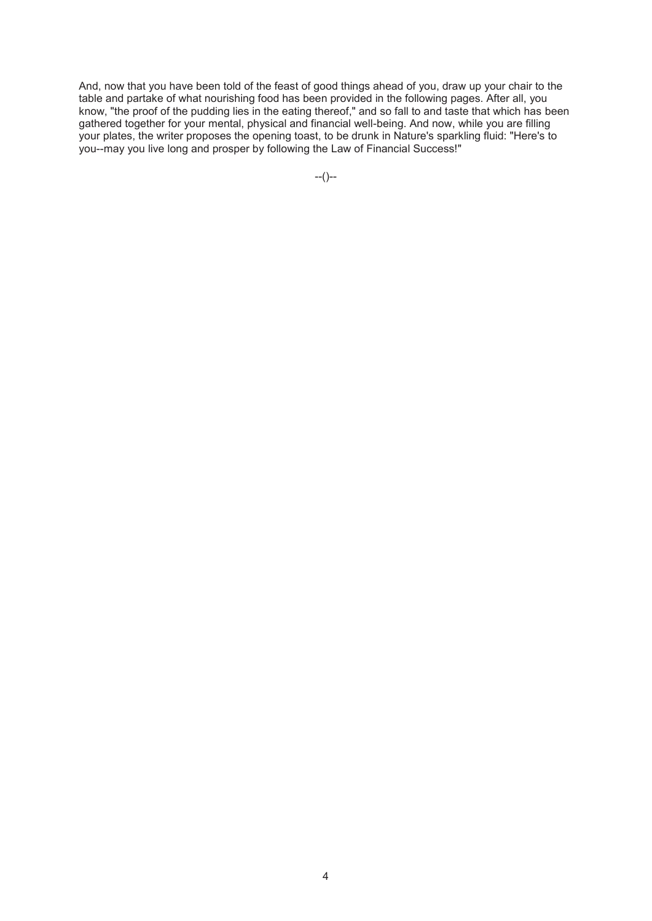And, now that you have been told of the feast of good things ahead of you, draw up your chair to the table and partake of what nourishing food has been provided in the following pages. After all, you know, "the proof of the pudding lies in the eating thereof," and so fall to and taste that which has been gathered together for your mental, physical and financial well-being. And now, while you are filling your plates, the writer proposes the opening toast, to be drunk in Nature's sparkling fluid: "Here's to you--may you live long and prosper by following the Law of Financial Success!"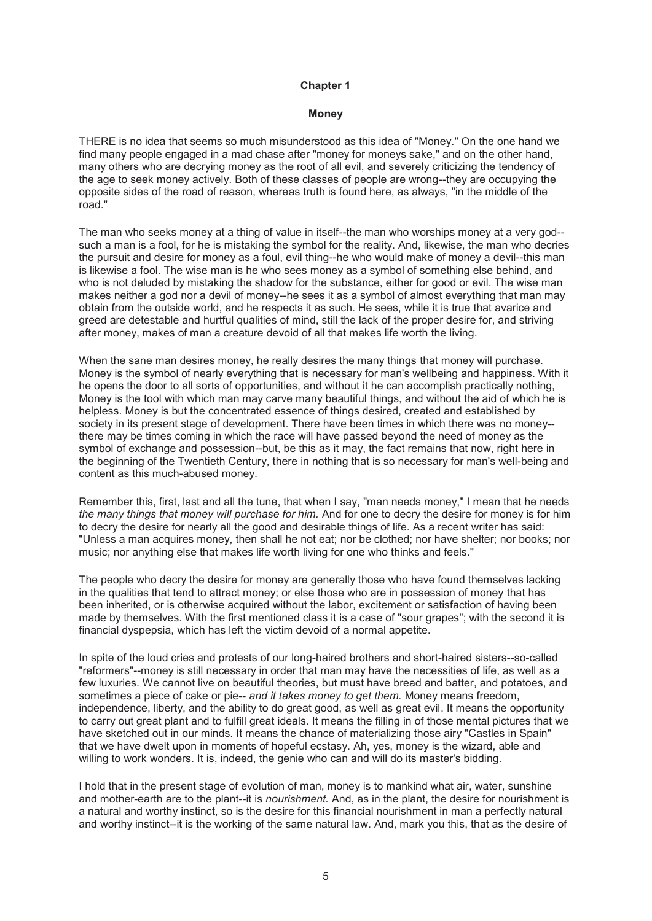#### **Money**

THERE is no idea that seems so much misunderstood as this idea of "Money." On the one hand we find many people engaged in a mad chase after "money for moneys sake," and on the other hand, many others who are decrying money as the root of all evil, and severely criticizing the tendency of the age to seek money actively. Both of these classes of people are wrong--they are occupying the opposite sides of the road of reason, whereas truth is found here, as always, "in the middle of the road."

The man who seeks money at a thing of value in itself--the man who worships money at a very god- such a man is a fool, for he is mistaking the symbol for the reality. And, likewise, the man who decries the pursuit and desire for money as a foul, evil thing--he who would make of money a devil--this man is likewise a fool. The wise man is he who sees money as a symbol of something else behind, and who is not deluded by mistaking the shadow for the substance, either for good or evil. The wise man makes neither a god nor a devil of money--he sees it as a symbol of almost everything that man may obtain from the outside world, and he respects it as such. He sees, while it is true that avarice and greed are detestable and hurtful qualities of mind, still the lack of the proper desire for, and striving after money, makes of man a creature devoid of all that makes life worth the living.

When the sane man desires money, he really desires the many things that money will purchase. Money is the symbol of nearly everything that is necessary for man's wellbeing and happiness. With it he opens the door to all sorts of opportunities, and without it he can accomplish practically nothing, Money is the tool with which man may carve many beautiful things, and without the aid of which he is helpless. Money is but the concentrated essence of things desired, created and established by society in its present stage of development. There have been times in which there was no money- there may be times coming in which the race will have passed beyond the need of money as the symbol of exchange and possession--but, be this as it may, the fact remains that now, right here in the beginning of the Twentieth Century, there in nothing that is so necessary for man's well-being and content as this much-abused money.

Remember this, first, last and all the tune, that when I say, "man needs money," I mean that he needs *the many things that money will purchase for him.* And for one to decry the desire for money is for him to decry the desire for nearly all the good and desirable things of life. As a recent writer has said: "Unless a man acquires money, then shall he not eat; nor be clothed; nor have shelter; nor books; nor music; nor anything else that makes life worth living for one who thinks and feels."

The people who decry the desire for money are generally those who have found themselves lacking in the qualities that tend to attract money; or else those who are in possession of money that has been inherited, or is otherwise acquired without the labor, excitement or satisfaction of having been made by themselves. With the first mentioned class it is a case of "sour grapes"; with the second it is financial dyspepsia, which has left the victim devoid of a normal appetite.

In spite of the loud cries and protests of our long-haired brothers and short-haired sisters--so-called "reformers"--money is still necessary in order that man may have the necessities of life, as well as a few luxuries. We cannot live on beautiful theories, but must have bread and batter, and potatoes, and sometimes a piece of cake or pie-- *and it takes money to get them.* Money means freedom, independence, liberty, and the ability to do great good, as well as great evil. It means the opportunity to carry out great plant and to fulfill great ideals. It means the filling in of those mental pictures that we have sketched out in our minds. It means the chance of materializing those airy "Castles in Spain" that we have dwelt upon in moments of hopeful ecstasy. Ah, yes, money is the wizard, able and willing to work wonders. It is, indeed, the genie who can and will do its master's bidding.

I hold that in the present stage of evolution of man, money is to mankind what air, water, sunshine and mother-earth are to the plant--it is *nourishment.* And, as in the plant, the desire for nourishment is a natural and worthy instinct, so is the desire for this financial nourishment in man a perfectly natural and worthy instinct--it is the working of the same natural law. And, mark you this, that as the desire of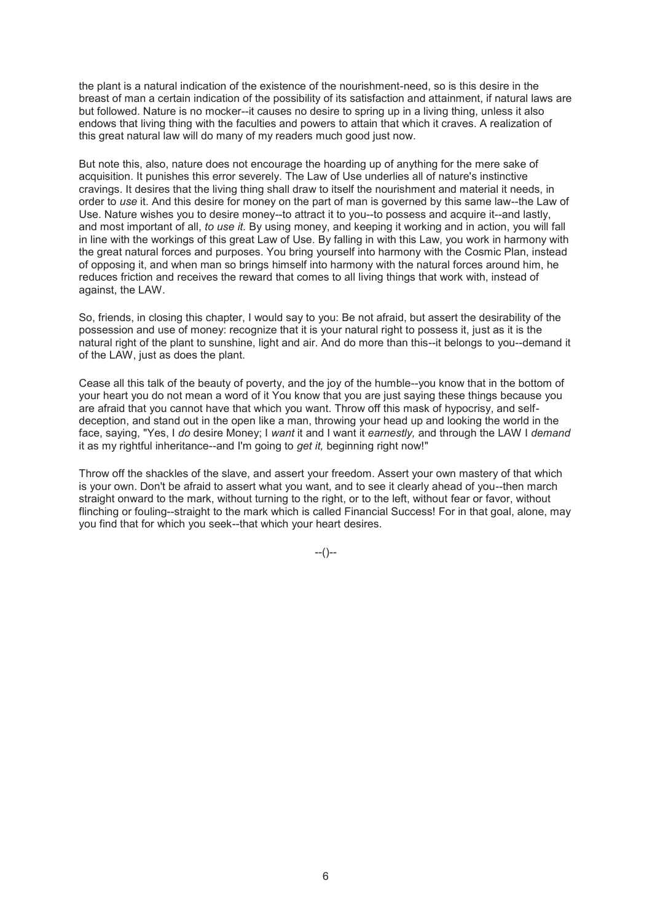the plant is a natural indication of the existence of the nourishment-need, so is this desire in the breast of man a certain indication of the possibility of its satisfaction and attainment, if natural laws are but followed. Nature is no mocker--it causes no desire to spring up in a living thing, unless it also endows that living thing with the faculties and powers to attain that which it craves. A realization of this great natural law will do many of my readers much good just now.

But note this, also, nature does not encourage the hoarding up of anything for the mere sake of acquisition. It punishes this error severely. The Law of Use underlies all of nature's instinctive cravings. It desires that the living thing shall draw to itself the nourishment and material it needs, in order to *use* it. And this desire for money on the part of man is governed by this same law--the Law of Use. Nature wishes you to desire money--to attract it to you--to possess and acquire it--and lastly, and most important of all, *to use it.* By using money, and keeping it working and in action, you will fall in line with the workings of this great Law of Use. By falling in with this Law, you work in harmony with the great natural forces and purposes. You bring yourself into harmony with the Cosmic Plan, instead of opposing it, and when man so brings himself into harmony with the natural forces around him, he reduces friction and receives the reward that comes to all living things that work with, instead of against, the LAW.

So, friends, in closing this chapter, I would say to you: Be not afraid, but assert the desirability of the possession and use of money: recognize that it is your natural right to possess it, just as it is the natural right of the plant to sunshine, light and air. And do more than this--it belongs to you--demand it of the LAW, just as does the plant.

Cease all this talk of the beauty of poverty, and the joy of the humble--you know that in the bottom of your heart you do not mean a word of it You know that you are just saying these things because you are afraid that you cannot have that which you want. Throw off this mask of hypocrisy, and selfdeception, and stand out in the open like a man, throwing your head up and looking the world in the face, saying, "Yes, I *do* desire Money; I *want* it and I want it *earnestly,* and through the LAW I *demand*  it as my rightful inheritance--and I'm going to *get it,* beginning right now!"

Throw off the shackles of the slave, and assert your freedom. Assert your own mastery of that which is your own. Don't be afraid to assert what you want, and to see it clearly ahead of you--then march straight onward to the mark, without turning to the right, or to the left, without fear or favor, without flinching or fouling--straight to the mark which is called Financial Success! For in that goal, alone, may you find that for which you seek--that which your heart desires.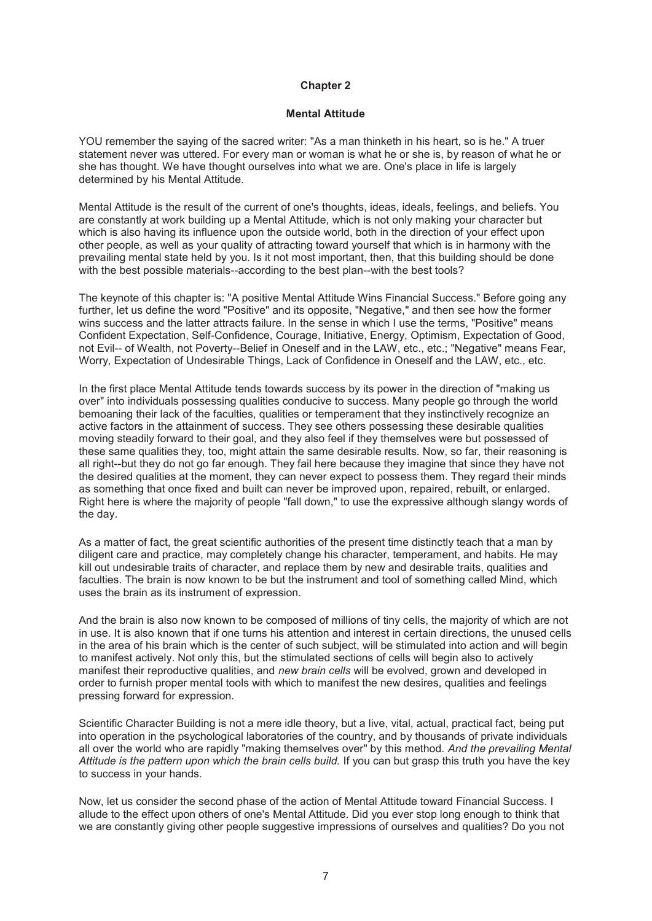#### **Mental Attitude**

YOU remember the saying of the sacred writer: "As a man thinketh in his heart, so is he." A truer statement never was uttered. For every man or woman is what he or she is, by reason of what he or she has thought. We have thought ourselves into what we are. One's place in life is largely determined by his Mental Attitude.

Mental Attitude is the result of the current of one's thoughts, ideas, ideals, feelings, and beliefs. You are constantly at work building up a Mental Attitude, which is not only making your character but which is also having its influence upon the outside world, both in the direction of your effect upon other people, as well as your quality of attracting toward yourself that which is in harmony with the prevailing mental state held by you. Is it not most important, then, that this building should be done with the best possible materials--according to the best plan--with the best tools?

The keynote of this chapter is: "A positive Mental Attitude Wins Financial Success." Before going any further, let us define the word "Positive" and its opposite, "Negative," and then see how the former wins success and the latter attracts failure. In the sense in which I use the terms, "Positive" means Confident Expectation, Self-Confidence, Courage, Initiative, Energy, Optimism, Expectation of Good, not Evil-- of Wealth, not Poverty--Belief in Oneself and in the LAW, etc., etc.; "Negative" means Fear, Worry, Expectation of Undesirable Things, Lack of Confidence in Oneself and the LAW, etc., etc.

In the first place Mental Attitude tends towards success by its power in the direction of "making us over" into individuals possessing qualities conducive to success. Many people go through the world bemoaning their lack of the faculties, qualities or temperament that they instinctively recognize an active factors in the attainment of success. They see others possessing these desirable qualities moving steadily forward to their goal, and they also feel if they themselves were but possessed of these same qualities they, too, might attain the same desirable results. Now, so far, their reasoning is all right--but they do not go far enough. They fail here because they imagine that since they have not the desired qualities at the moment, they can never expect to possess them. They regard their minds as something that once fixed and built can never be improved upon, repaired, rebuilt, or enlarged. Right here is where the majority of people "fall down," to use the expressive although slangy words of the day.

As a matter of fact, the great scientific authorities of the present time distinctly teach that a man by diligent care and practice, may completely change his character, temperament, and habits. He may kill out undesirable traits of character, and replace them by new and desirable traits, qualities and faculties. The brain is now known to be but the instrument and tool of something called Mind, which uses the brain as its instrument of expression.

And the brain is also now known to be composed of millions of tiny cells, the majority of which are not in use. It is also known that if one turns his attention and interest in certain directions, the unused cells in the area of his brain which is the center of such subject, will be stimulated into action and will begin to manifest actively. Not only this, but the stimulated sections of cells will begin also to actively manifest their reproductive qualities, and *new brain cells* will be evolved, grown and developed in order to furnish proper mental tools with which to manifest the new desires, qualities and feelings pressing forward for expression.

Scientific Character Building is not a mere idle theory, but a live, vital, actual, practical fact, being put into operation in the psychological laboratories of the country, and by thousands of private individuals all over the world who are rapidly "making themselves over" by this method. *And the prevailing Mental Attitude is the pattern upon which the brain cells build.* If you can but grasp this truth you have the key to success in your hands.

Now, let us consider the second phase of the action of Mental Attitude toward Financial Success. I allude to the effect upon others of one's Mental Attitude. Did you ever stop long enough to think that we are constantly giving other people suggestive impressions of ourselves and qualities? Do you not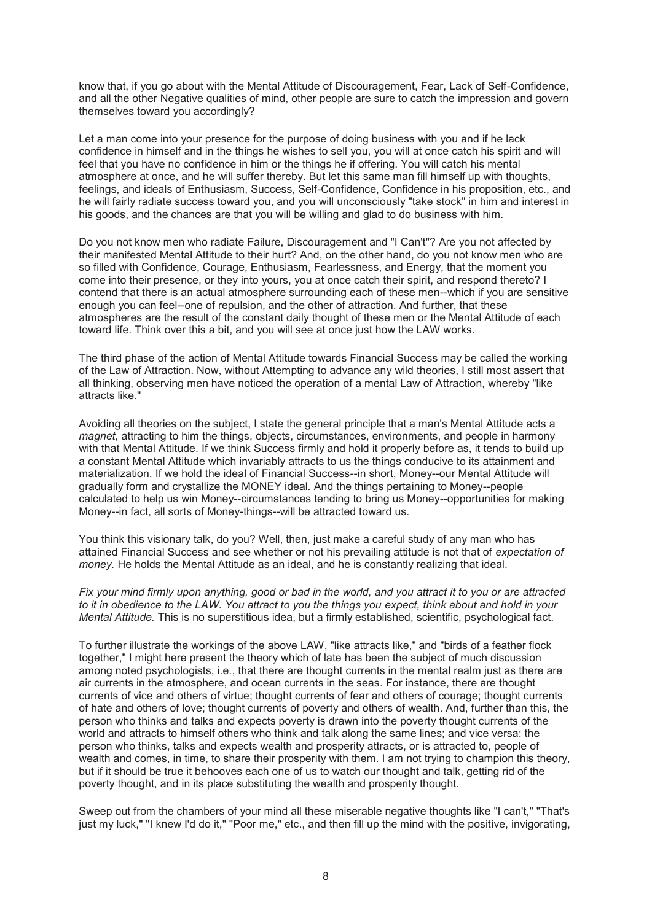know that, if you go about with the Mental Attitude of Discouragement, Fear, Lack of Self-Confidence, and all the other Negative qualities of mind, other people are sure to catch the impression and govern themselves toward you accordingly?

Let a man come into your presence for the purpose of doing business with you and if he lack confidence in himself and in the things he wishes to sell you, you will at once catch his spirit and will feel that you have no confidence in him or the things he if offering. You will catch his mental atmosphere at once, and he will suffer thereby. But let this same man fill himself up with thoughts, feelings, and ideals of Enthusiasm, Success, Self-Confidence, Confidence in his proposition, etc., and he will fairly radiate success toward you, and you will unconsciously "take stock" in him and interest in his goods, and the chances are that you will be willing and glad to do business with him.

Do you not know men who radiate Failure, Discouragement and "I Can't"? Are you not affected by their manifested Mental Attitude to their hurt? And, on the other hand, do you not know men who are so filled with Confidence, Courage, Enthusiasm, Fearlessness, and Energy, that the moment you come into their presence, or they into yours, you at once catch their spirit, and respond thereto? I contend that there is an actual atmosphere surrounding each of these men--which if you are sensitive enough you can feel--one of repulsion, and the other of attraction. And further, that these atmospheres are the result of the constant daily thought of these men or the Mental Attitude of each toward life. Think over this a bit, and you will see at once just how the LAW works.

The third phase of the action of Mental Attitude towards Financial Success may be called the working of the Law of Attraction. Now, without Attempting to advance any wild theories, I still most assert that all thinking, observing men have noticed the operation of a mental Law of Attraction, whereby "like attracts like."

Avoiding all theories on the subject, I state the general principle that a man's Mental Attitude acts a *magnet,* attracting to him the things, objects, circumstances, environments, and people in harmony with that Mental Attitude. If we think Success firmly and hold it properly before as, it tends to build up a constant Mental Attitude which invariably attracts to us the things conducive to its attainment and materialization. If we hold the ideal of Financial Success--in short, Money--our Mental Attitude will gradually form and crystallize the MONEY ideal. And the things pertaining to Money--people calculated to help us win Money--circumstances tending to bring us Money--opportunities for making Money--in fact, all sorts of Money-things--will be attracted toward us.

You think this visionary talk, do you? Well, then, just make a careful study of any man who has attained Financial Success and see whether or not his prevailing attitude is not that of *expectation of money*. He holds the Mental Attitude as an ideal, and he is constantly realizing that ideal.

*Fix your mind firmly upon anything, good or bad in the world, and you attract it to you or are attracted to it in obedience to the LAW. You attract to you the things you expect, think about and hold in your Mental Attitude.* This is no superstitious idea, but a firmly established, scientific, psychological fact.

To further illustrate the workings of the above LAW, "like attracts like," and "birds of a feather flock together," I might here present the theory which of late has been the subject of much discussion among noted psychologists, i.e., that there are thought currents in the mental realm just as there are air currents in the atmosphere, and ocean currents in the seas. For instance, there are thought currents of vice and others of virtue; thought currents of fear and others of courage; thought currents of hate and others of love; thought currents of poverty and others of wealth. And, further than this, the person who thinks and talks and expects poverty is drawn into the poverty thought currents of the world and attracts to himself others who think and talk along the same lines; and vice versa: the person who thinks, talks and expects wealth and prosperity attracts, or is attracted to, people of wealth and comes, in time, to share their prosperity with them. I am not trying to champion this theory, but if it should be true it behooves each one of us to watch our thought and talk, getting rid of the poverty thought, and in its place substituting the wealth and prosperity thought.

Sweep out from the chambers of your mind all these miserable negative thoughts like "I can't," "That's just my luck," "I knew I'd do it," "Poor me," etc., and then fill up the mind with the positive, invigorating,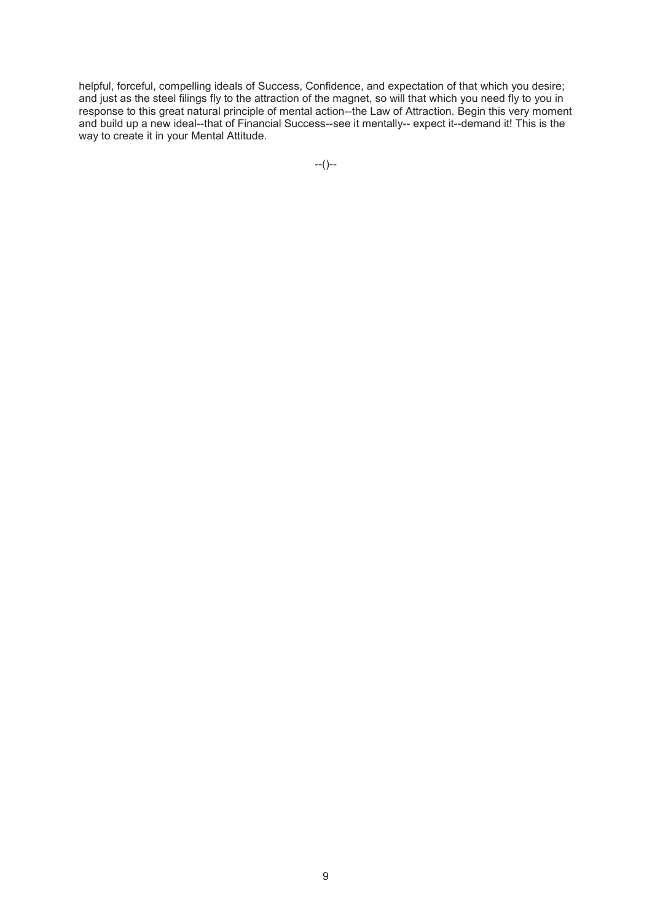helpful, forceful, compelling ideals of Success, Confidence, and expectation of that which you desire; and just as the steel filings fly to the attraction of the magnet, so will that which you need fly to you in response to this great natural principle of mental action--the Law of Attraction. Begin this very moment and build up a new ideal--that of Financial Success--see it mentally-- expect it--demand it! This is the way to create it in your Mental Attitude.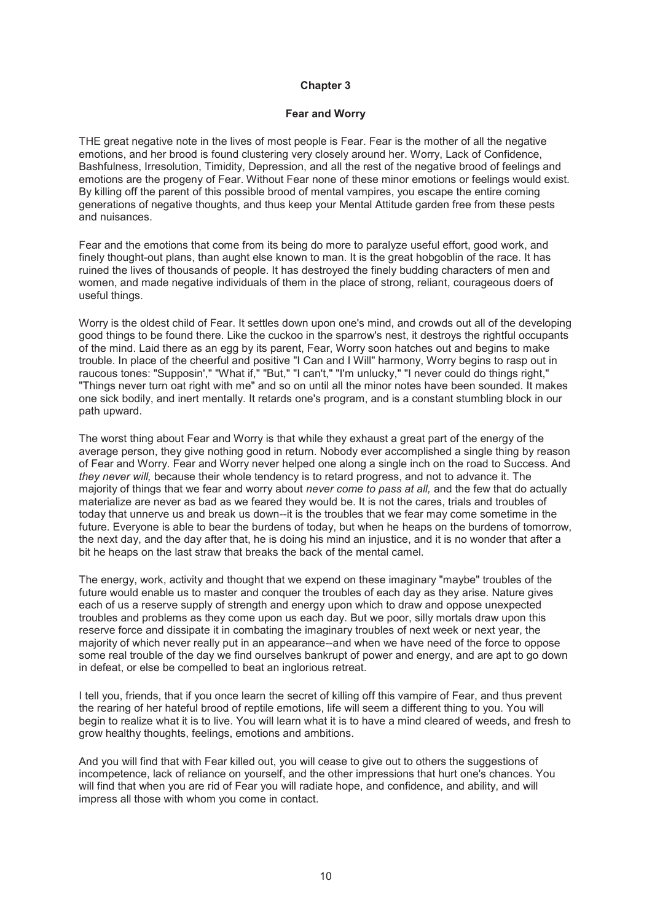#### **Fear and Worry**

THE great negative note in the lives of most people is Fear. Fear is the mother of all the negative emotions, and her brood is found clustering very closely around her. Worry, Lack of Confidence, Bashfulness, Irresolution, Timidity, Depression, and all the rest of the negative brood of feelings and emotions are the progeny of Fear. Without Fear none of these minor emotions or feelings would exist. By killing off the parent of this possible brood of mental vampires, you escape the entire coming generations of negative thoughts, and thus keep your Mental Attitude garden free from these pests and nuisances.

Fear and the emotions that come from its being do more to paralyze useful effort, good work, and finely thought-out plans, than aught else known to man. It is the great hobgoblin of the race. It has ruined the lives of thousands of people. It has destroyed the finely budding characters of men and women, and made negative individuals of them in the place of strong, reliant, courageous doers of useful things.

Worry is the oldest child of Fear. It settles down upon one's mind, and crowds out all of the developing good things to be found there. Like the cuckoo in the sparrow's nest, it destroys the rightful occupants of the mind. Laid there as an egg by its parent, Fear, Worry soon hatches out and begins to make trouble. In place of the cheerful and positive "I Can and I Will" harmony, Worry begins to rasp out in raucous tones: "Supposin'," "What if," "But," "I can't," "I'm unlucky," "I never could do things right," "Things never turn oat right with me" and so on until all the minor notes have been sounded. It makes one sick bodily, and inert mentally. It retards one's program, and is a constant stumbling block in our path upward.

The worst thing about Fear and Worry is that while they exhaust a great part of the energy of the average person, they give nothing good in return. Nobody ever accomplished a single thing by reason of Fear and Worry. Fear and Worry never helped one along a single inch on the road to Success. And *they never will,* because their whole tendency is to retard progress, and not to advance it. The majority of things that we fear and worry about *never come to pass at all,* and the few that do actually materialize are never as bad as we feared they would be. It is not the cares, trials and troubles of today that unnerve us and break us down--it is the troubles that we fear may come sometime in the future. Everyone is able to bear the burdens of today, but when he heaps on the burdens of tomorrow, the next day, and the day after that, he is doing his mind an injustice, and it is no wonder that after a bit he heaps on the last straw that breaks the back of the mental camel.

The energy, work, activity and thought that we expend on these imaginary "maybe" troubles of the future would enable us to master and conquer the troubles of each day as they arise. Nature gives each of us a reserve supply of strength and energy upon which to draw and oppose unexpected troubles and problems as they come upon us each day. But we poor, silly mortals draw upon this reserve force and dissipate it in combating the imaginary troubles of next week or next year, the majority of which never really put in an appearance--and when we have need of the force to oppose some real trouble of the day we find ourselves bankrupt of power and energy, and are apt to go down in defeat, or else be compelled to beat an inglorious retreat.

I tell you, friends, that if you once learn the secret of killing off this vampire of Fear, and thus prevent the rearing of her hateful brood of reptile emotions, life will seem a different thing to you. You will begin to realize what it is to live. You will learn what it is to have a mind cleared of weeds, and fresh to grow healthy thoughts, feelings, emotions and ambitions.

And you will find that with Fear killed out, you will cease to give out to others the suggestions of incompetence, lack of reliance on yourself, and the other impressions that hurt one's chances. You will find that when you are rid of Fear you will radiate hope, and confidence, and ability, and will impress all those with whom you come in contact.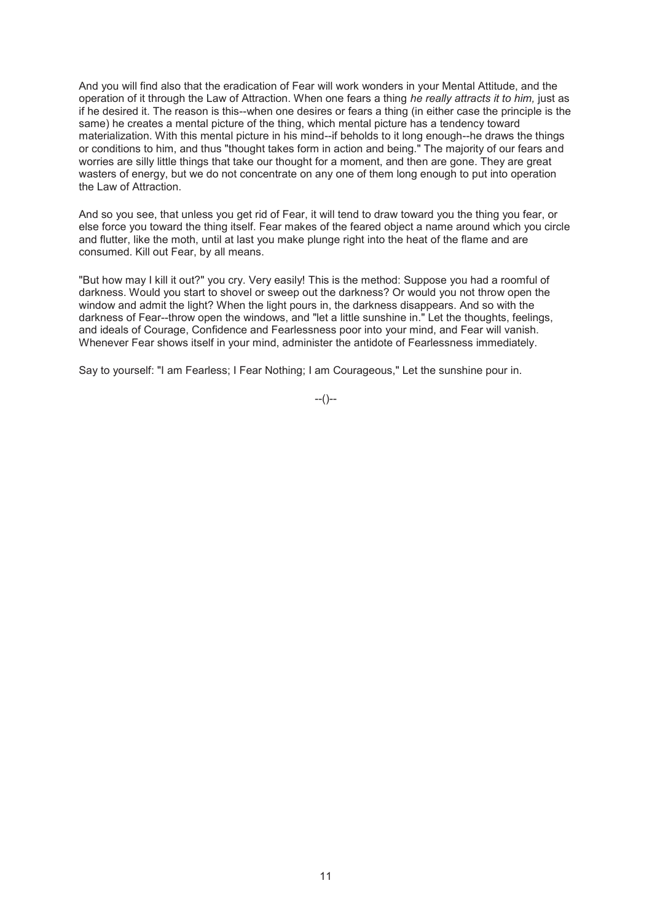And you will find also that the eradication of Fear will work wonders in your Mental Attitude, and the operation of it through the Law of Attraction. When one fears a thing *he really attracts it to him,* just as if he desired it. The reason is this--when one desires or fears a thing (in either case the principle is the same) he creates a mental picture of the thing, which mental picture has a tendency toward materialization. With this mental picture in his mind--if beholds to it long enough--he draws the things or conditions to him, and thus "thought takes form in action and being." The majority of our fears and worries are silly little things that take our thought for a moment, and then are gone. They are great wasters of energy, but we do not concentrate on any one of them long enough to put into operation the Law of Attraction.

And so you see, that unless you get rid of Fear, it will tend to draw toward you the thing you fear, or else force you toward the thing itself. Fear makes of the feared object a name around which you circle and flutter, like the moth, until at last you make plunge right into the heat of the flame and are consumed. Kill out Fear, by all means.

"But how may I kill it out?" you cry. Very easily! This is the method: Suppose you had a roomful of darkness. Would you start to shovel or sweep out the darkness? Or would you not throw open the window and admit the light? When the light pours in, the darkness disappears. And so with the darkness of Fear--throw open the windows, and "let a little sunshine in." Let the thoughts, feelings, and ideals of Courage, Confidence and Fearlessness poor into your mind, and Fear will vanish. Whenever Fear shows itself in your mind, administer the antidote of Fearlessness immediately.

Say to yourself: "I am Fearless; I Fear Nothing; I am Courageous," Let the sunshine pour in.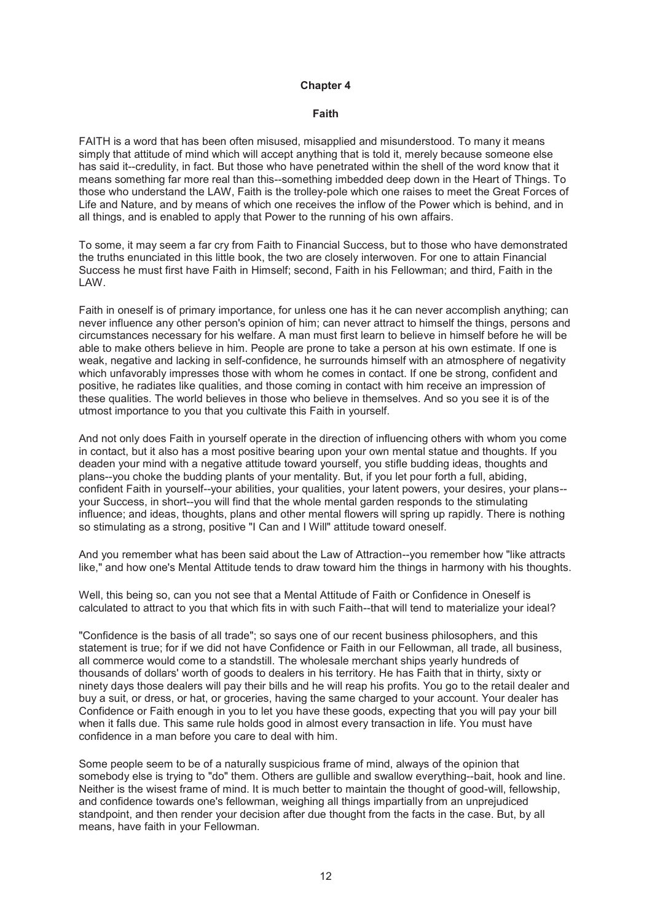#### **Faith**

FAITH is a word that has been often misused, misapplied and misunderstood. To many it means simply that attitude of mind which will accept anything that is told it, merely because someone else has said it--credulity, in fact. But those who have penetrated within the shell of the word know that it means something far more real than this--something imbedded deep down in the Heart of Things. To those who understand the LAW, Faith is the trolley-pole which one raises to meet the Great Forces of Life and Nature, and by means of which one receives the inflow of the Power which is behind, and in all things, and is enabled to apply that Power to the running of his own affairs.

To some, it may seem a far cry from Faith to Financial Success, but to those who have demonstrated the truths enunciated in this little book, the two are closely interwoven. For one to attain Financial Success he must first have Faith in Himself; second, Faith in his Fellowman; and third, Faith in the LAW.

Faith in oneself is of primary importance, for unless one has it he can never accomplish anything; can never influence any other person's opinion of him; can never attract to himself the things, persons and circumstances necessary for his welfare. A man must first learn to believe in himself before he will be able to make others believe in him. People are prone to take a person at his own estimate. If one is weak, negative and lacking in self-confidence, he surrounds himself with an atmosphere of negativity which unfavorably impresses those with whom he comes in contact. If one be strong, confident and positive, he radiates like qualities, and those coming in contact with him receive an impression of these qualities. The world believes in those who believe in themselves. And so you see it is of the utmost importance to you that you cultivate this Faith in yourself.

And not only does Faith in yourself operate in the direction of influencing others with whom you come in contact, but it also has a most positive bearing upon your own mental statue and thoughts. If you deaden your mind with a negative attitude toward yourself, you stifle budding ideas, thoughts and plans--you choke the budding plants of your mentality. But, if you let pour forth a full, abiding, confident Faith in yourself--your abilities, your qualities, your latent powers, your desires, your plans- your Success, in short--you will find that the whole mental garden responds to the stimulating influence; and ideas, thoughts, plans and other mental flowers will spring up rapidly. There is nothing so stimulating as a strong, positive "I Can and I Will" attitude toward oneself.

And you remember what has been said about the Law of Attraction--you remember how "like attracts like," and how one's Mental Attitude tends to draw toward him the things in harmony with his thoughts.

Well, this being so, can you not see that a Mental Attitude of Faith or Confidence in Oneself is calculated to attract to you that which fits in with such Faith--that will tend to materialize your ideal?

"Confidence is the basis of all trade"; so says one of our recent business philosophers, and this statement is true; for if we did not have Confidence or Faith in our Fellowman, all trade, all business, all commerce would come to a standstill. The wholesale merchant ships yearly hundreds of thousands of dollars' worth of goods to dealers in his territory. He has Faith that in thirty, sixty or ninety days those dealers will pay their bills and he will reap his profits. You go to the retail dealer and buy a suit, or dress, or hat, or groceries, having the same charged to your account. Your dealer has Confidence or Faith enough in you to let you have these goods, expecting that you will pay your bill when it falls due. This same rule holds good in almost every transaction in life. You must have confidence in a man before you care to deal with him.

Some people seem to be of a naturally suspicious frame of mind, always of the opinion that somebody else is trying to "do" them. Others are gullible and swallow everything--bait, hook and line. Neither is the wisest frame of mind. It is much better to maintain the thought of good-will, fellowship, and confidence towards one's fellowman, weighing all things impartially from an unprejudiced standpoint, and then render your decision after due thought from the facts in the case. But, by all means, have faith in your Fellowman.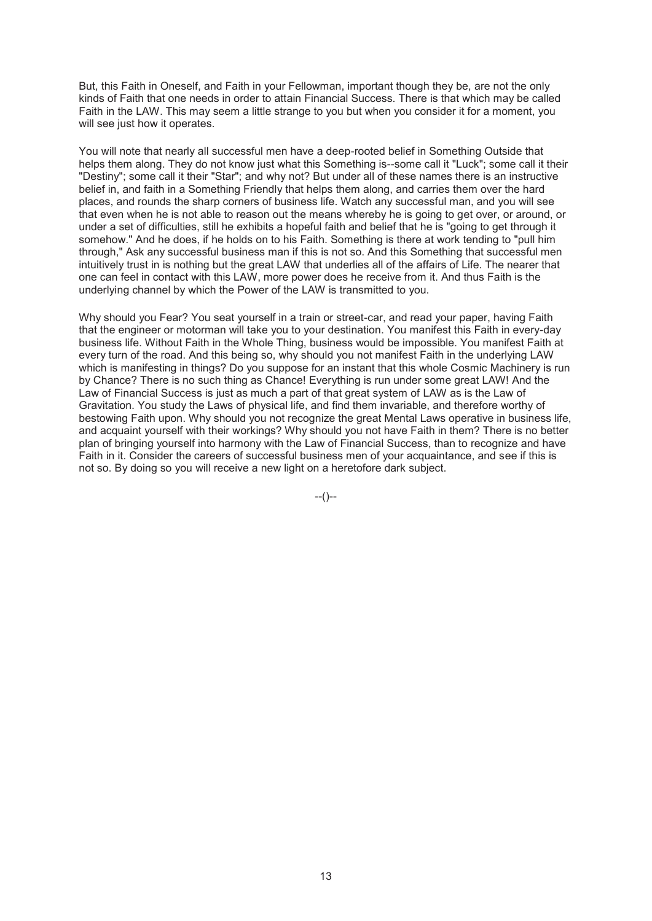But, this Faith in Oneself, and Faith in your Fellowman, important though they be, are not the only kinds of Faith that one needs in order to attain Financial Success. There is that which may be called Faith in the LAW. This may seem a little strange to you but when you consider it for a moment, you will see just how it operates.

You will note that nearly all successful men have a deep-rooted belief in Something Outside that helps them along. They do not know just what this Something is--some call it "Luck"; some call it their "Destiny"; some call it their "Star"; and why not? But under all of these names there is an instructive belief in, and faith in a Something Friendly that helps them along, and carries them over the hard places, and rounds the sharp corners of business life. Watch any successful man, and you will see that even when he is not able to reason out the means whereby he is going to get over, or around, or under a set of difficulties, still he exhibits a hopeful faith and belief that he is "going to get through it somehow." And he does, if he holds on to his Faith. Something is there at work tending to "pull him through," Ask any successful business man if this is not so. And this Something that successful men intuitively trust in is nothing but the great LAW that underlies all of the affairs of Life. The nearer that one can feel in contact with this LAW, more power does he receive from it. And thus Faith is the underlying channel by which the Power of the LAW is transmitted to you.

Why should you Fear? You seat yourself in a train or street-car, and read your paper, having Faith that the engineer or motorman will take you to your destination. You manifest this Faith in every-day business life. Without Faith in the Whole Thing, business would be impossible. You manifest Faith at every turn of the road. And this being so, why should you not manifest Faith in the underlying LAW which is manifesting in things? Do you suppose for an instant that this whole Cosmic Machinery is run by Chance? There is no such thing as Chance! Everything is run under some great LAW! And the Law of Financial Success is just as much a part of that great system of LAW as is the Law of Gravitation. You study the Laws of physical life, and find them invariable, and therefore worthy of bestowing Faith upon. Why should you not recognize the great Mental Laws operative in business life. and acquaint yourself with their workings? Why should you not have Faith in them? There is no better plan of bringing yourself into harmony with the Law of Financial Success, than to recognize and have Faith in it. Consider the careers of successful business men of your acquaintance, and see if this is not so. By doing so you will receive a new light on a heretofore dark subject.

 $-(-)$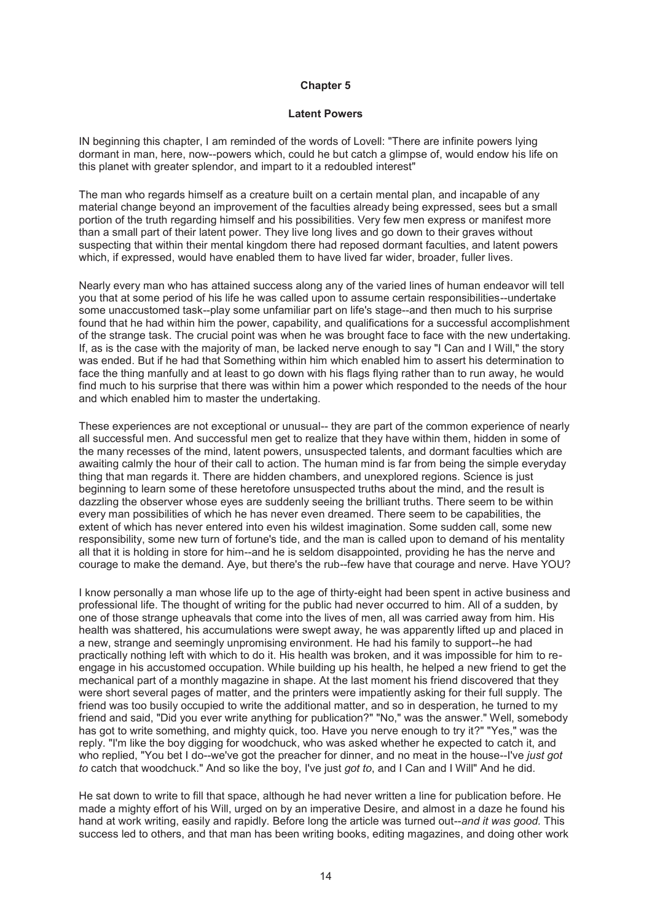#### **Latent Powers**

IN beginning this chapter, I am reminded of the words of Lovell: "There are infinite powers lying dormant in man, here, now--powers which, could he but catch a glimpse of, would endow his life on this planet with greater splendor, and impart to it a redoubled interest"

The man who regards himself as a creature built on a certain mental plan, and incapable of any material change beyond an improvement of the faculties already being expressed, sees but a small portion of the truth regarding himself and his possibilities. Very few men express or manifest more than a small part of their latent power. They live long lives and go down to their graves without suspecting that within their mental kingdom there had reposed dormant faculties, and latent powers which, if expressed, would have enabled them to have lived far wider, broader, fuller lives.

Nearly every man who has attained success along any of the varied lines of human endeavor will tell you that at some period of his life he was called upon to assume certain responsibilities--undertake some unaccustomed task--play some unfamiliar part on life's stage--and then much to his surprise found that he had within him the power, capability, and qualifications for a successful accomplishment of the strange task. The crucial point was when he was brought face to face with the new undertaking. If, as is the case with the majority of man, be lacked nerve enough to say "I Can and I Will," the story was ended. But if he had that Something within him which enabled him to assert his determination to face the thing manfully and at least to go down with his flags flying rather than to run away, he would find much to his surprise that there was within him a power which responded to the needs of the hour and which enabled him to master the undertaking.

These experiences are not exceptional or unusual-- they are part of the common experience of nearly all successful men. And successful men get to realize that they have within them, hidden in some of the many recesses of the mind, latent powers, unsuspected talents, and dormant faculties which are awaiting calmly the hour of their call to action. The human mind is far from being the simple everyday thing that man regards it. There are hidden chambers, and unexplored regions. Science is just beginning to learn some of these heretofore unsuspected truths about the mind, and the result is dazzling the observer whose eyes are suddenly seeing the brilliant truths. There seem to be within every man possibilities of which he has never even dreamed. There seem to be capabilities, the extent of which has never entered into even his wildest imagination. Some sudden call, some new responsibility, some new turn of fortune's tide, and the man is called upon to demand of his mentality all that it is holding in store for him--and he is seldom disappointed, providing he has the nerve and courage to make the demand. Aye, but there's the rub--few have that courage and nerve. Have YOU?

I know personally a man whose life up to the age of thirty-eight had been spent in active business and professional life. The thought of writing for the public had never occurred to him. All of a sudden, by one of those strange upheavals that come into the lives of men, all was carried away from him. His health was shattered, his accumulations were swept away, he was apparently lifted up and placed in a new, strange and seemingly unpromising environment. He had his family to support--he had practically nothing left with which to do it. His health was broken, and it was impossible for him to reengage in his accustomed occupation. While building up his health, he helped a new friend to get the mechanical part of a monthly magazine in shape. At the last moment his friend discovered that they were short several pages of matter, and the printers were impatiently asking for their full supply. The friend was too busily occupied to write the additional matter, and so in desperation, he turned to my friend and said, "Did you ever write anything for publication?" "No," was the answer." Well, somebody has got to write something, and mighty quick, too. Have you nerve enough to try it?" "Yes," was the reply. "I'm like the boy digging for woodchuck, who was asked whether he expected to catch it, and who replied, "You bet I do--we've got the preacher for dinner, and no meat in the house--I've *just got to* catch that woodchuck." And so like the boy, I've just *got to*, and I Can and I Will" And he did.

He sat down to write to fill that space, although he had never written a line for publication before. He made a mighty effort of his Will, urged on by an imperative Desire, and almost in a daze he found his hand at work writing, easily and rapidly. Before long the article was turned out--*and it was good.* This success led to others, and that man has been writing books, editing magazines, and doing other work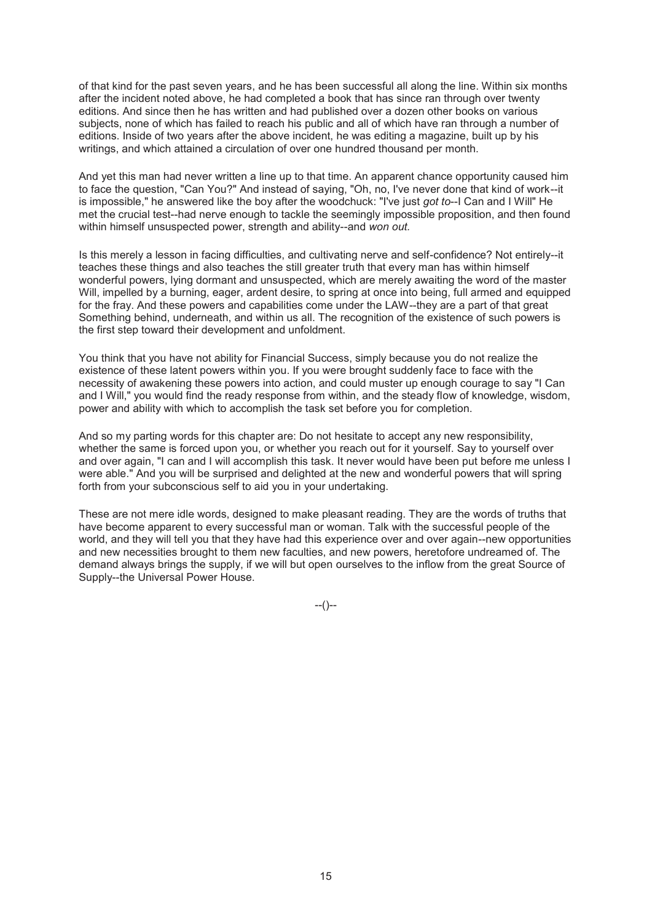of that kind for the past seven years, and he has been successful all along the line. Within six months after the incident noted above, he had completed a book that has since ran through over twenty editions. And since then he has written and had published over a dozen other books on various subjects, none of which has failed to reach his public and all of which have ran through a number of editions. Inside of two years after the above incident, he was editing a magazine, built up by his writings, and which attained a circulation of over one hundred thousand per month.

And yet this man had never written a line up to that time. An apparent chance opportunity caused him to face the question, "Can You?" And instead of saying, "Oh, no, I've never done that kind of work--it is impossible," he answered like the boy after the woodchuck: "I've just *got to*--I Can and I Will" He met the crucial test--had nerve enough to tackle the seemingly impossible proposition, and then found within himself unsuspected power, strength and ability--and *won out.* 

Is this merely a lesson in facing difficulties, and cultivating nerve and self-confidence? Not entirely--it teaches these things and also teaches the still greater truth that every man has within himself wonderful powers, lying dormant and unsuspected, which are merely awaiting the word of the master Will, impelled by a burning, eager, ardent desire, to spring at once into being, full armed and equipped for the fray. And these powers and capabilities come under the LAW--they are a part of that great Something behind, underneath, and within us all. The recognition of the existence of such powers is the first step toward their development and unfoldment.

You think that you have not ability for Financial Success, simply because you do not realize the existence of these latent powers within you. If you were brought suddenly face to face with the necessity of awakening these powers into action, and could muster up enough courage to say "I Can and I Will," you would find the ready response from within, and the steady flow of knowledge, wisdom, power and ability with which to accomplish the task set before you for completion.

And so my parting words for this chapter are: Do not hesitate to accept any new responsibility, whether the same is forced upon you, or whether you reach out for it yourself. Say to yourself over and over again, "I can and I will accomplish this task. It never would have been put before me unless I were able." And you will be surprised and delighted at the new and wonderful powers that will spring forth from your subconscious self to aid you in your undertaking.

These are not mere idle words, designed to make pleasant reading. They are the words of truths that have become apparent to every successful man or woman. Talk with the successful people of the world, and they will tell you that they have had this experience over and over again--new opportunities and new necessities brought to them new faculties, and new powers, heretofore undreamed of. The demand always brings the supply, if we will but open ourselves to the inflow from the great Source of Supply--the Universal Power House.

 $-(-)$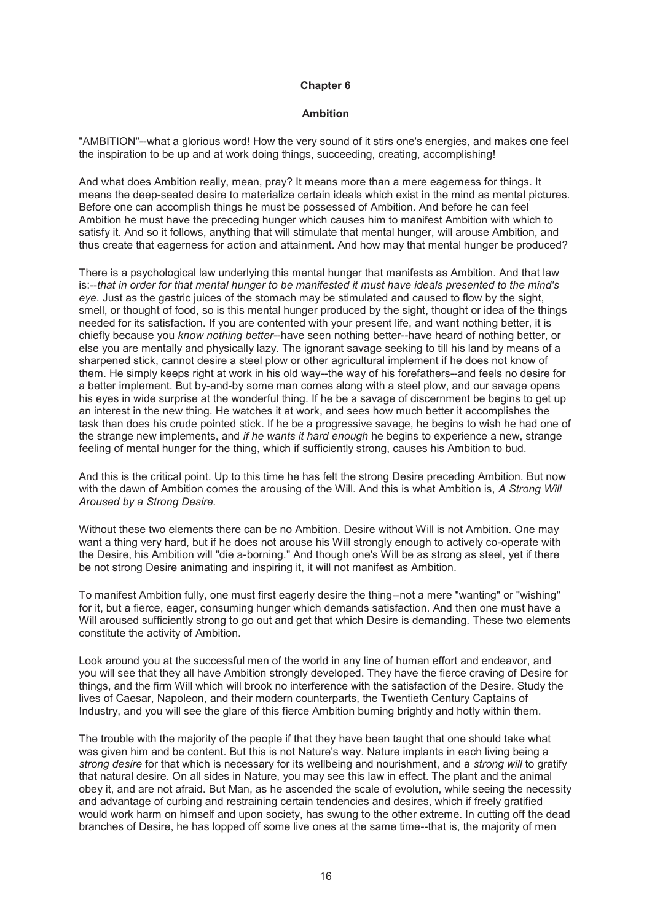#### **Ambition**

"AMBITION"--what a glorious word! How the very sound of it stirs one's energies, and makes one feel the inspiration to be up and at work doing things, succeeding, creating, accomplishing!

And what does Ambition really, mean, pray? It means more than a mere eagerness for things. It means the deep-seated desire to materialize certain ideals which exist in the mind as mental pictures. Before one can accomplish things he must be possessed of Ambition. And before he can feel Ambition he must have the preceding hunger which causes him to manifest Ambition with which to satisfy it. And so it follows, anything that will stimulate that mental hunger, will arouse Ambition, and thus create that eagerness for action and attainment. And how may that mental hunger be produced?

There is a psychological law underlying this mental hunger that manifests as Ambition. And that law is:--*that in order for that mental hunger to be manifested it must have ideals presented to the mind's eye.* Just as the gastric juices of the stomach may be stimulated and caused to flow by the sight, smell, or thought of food, so is this mental hunger produced by the sight, thought or idea of the things needed for its satisfaction. If you are contented with your present life, and want nothing better, it is chiefly because you *know nothing better*--have seen nothing better--have heard of nothing better, or else you are mentally and physically lazy. The ignorant savage seeking to till his land by means of a sharpened stick, cannot desire a steel plow or other agricultural implement if he does not know of them. He simply keeps right at work in his old way--the way of his forefathers--and feels no desire for a better implement. But by-and-by some man comes along with a steel plow, and our savage opens his eyes in wide surprise at the wonderful thing. If he be a savage of discernment be begins to get up an interest in the new thing. He watches it at work, and sees how much better it accomplishes the task than does his crude pointed stick. If he be a progressive savage, he begins to wish he had one of the strange new implements, and *if he wants it hard enough* he begins to experience a new, strange feeling of mental hunger for the thing, which if sufficiently strong, causes his Ambition to bud.

And this is the critical point. Up to this time he has felt the strong Desire preceding Ambition. But now with the dawn of Ambition comes the arousing of the Will. And this is what Ambition is, *A Strong Will Aroused by a Strong Desire.* 

Without these two elements there can be no Ambition. Desire without Will is not Ambition. One may want a thing very hard, but if he does not arouse his Will strongly enough to actively co-operate with the Desire, his Ambition will "die a-borning." And though one's Will be as strong as steel, yet if there be not strong Desire animating and inspiring it, it will not manifest as Ambition.

To manifest Ambition fully, one must first eagerly desire the thing--not a mere "wanting" or "wishing" for it, but a fierce, eager, consuming hunger which demands satisfaction. And then one must have a Will aroused sufficiently strong to go out and get that which Desire is demanding. These two elements constitute the activity of Ambition.

Look around you at the successful men of the world in any line of human effort and endeavor, and you will see that they all have Ambition strongly developed. They have the fierce craving of Desire for things, and the firm Will which will brook no interference with the satisfaction of the Desire. Study the lives of Caesar, Napoleon, and their modern counterparts, the Twentieth Century Captains of Industry, and you will see the glare of this fierce Ambition burning brightly and hotly within them.

The trouble with the majority of the people if that they have been taught that one should take what was given him and be content. But this is not Nature's way. Nature implants in each living being a *strong desire* for that which is necessary for its wellbeing and nourishment, and a *strong will* to gratify that natural desire. On all sides in Nature, you may see this law in effect. The plant and the animal obey it, and are not afraid. But Man, as he ascended the scale of evolution, while seeing the necessity and advantage of curbing and restraining certain tendencies and desires, which if freely gratified would work harm on himself and upon society, has swung to the other extreme. In cutting off the dead branches of Desire, he has lopped off some live ones at the same time--that is, the majority of men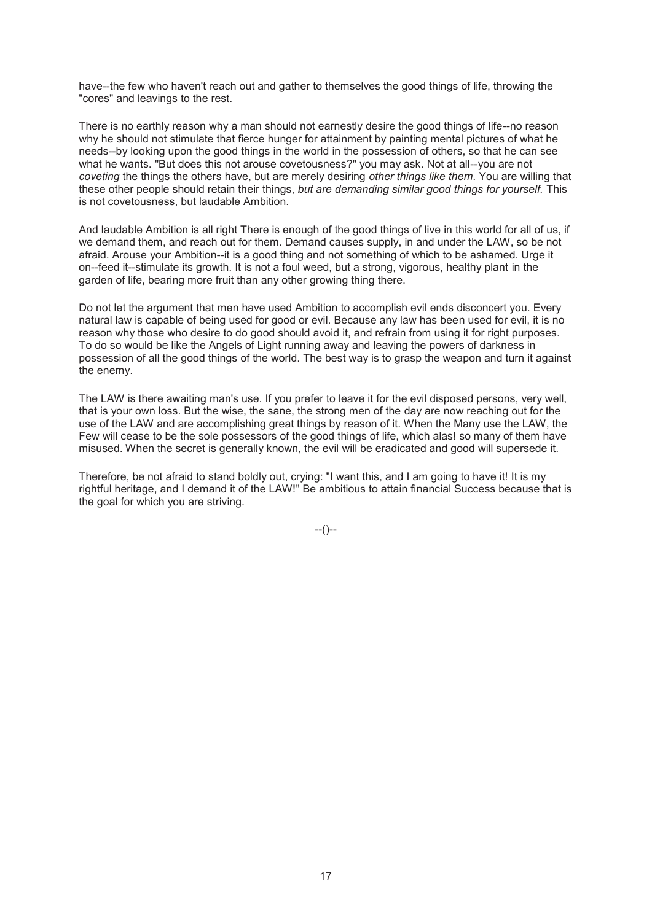have--the few who haven't reach out and gather to themselves the good things of life, throwing the "cores" and leavings to the rest.

There is no earthly reason why a man should not earnestly desire the good things of life--no reason why he should not stimulate that fierce hunger for attainment by painting mental pictures of what he needs--by looking upon the good things in the world in the possession of others, so that he can see what he wants. "But does this not arouse covetousness?" you may ask. Not at all--you are not *coveting* the things the others have, but are merely desiring *other things like them*. You are willing that these other people should retain their things, *but are demanding similar good things for yourself.* This is not covetousness, but laudable Ambition.

And laudable Ambition is all right There is enough of the good things of live in this world for all of us, if we demand them, and reach out for them. Demand causes supply, in and under the LAW, so be not afraid. Arouse your Ambition--it is a good thing and not something of which to be ashamed. Urge it on--feed it--stimulate its growth. It is not a foul weed, but a strong, vigorous, healthy plant in the garden of life, bearing more fruit than any other growing thing there.

Do not let the argument that men have used Ambition to accomplish evil ends disconcert you. Every natural law is capable of being used for good or evil. Because any law has been used for evil, it is no reason why those who desire to do good should avoid it, and refrain from using it for right purposes. To do so would be like the Angels of Light running away and leaving the powers of darkness in possession of all the good things of the world. The best way is to grasp the weapon and turn it against the enemy.

The LAW is there awaiting man's use. If you prefer to leave it for the evil disposed persons, very well, that is your own loss. But the wise, the sane, the strong men of the day are now reaching out for the use of the LAW and are accomplishing great things by reason of it. When the Many use the LAW, the Few will cease to be the sole possessors of the good things of life, which alas! so many of them have misused. When the secret is generally known, the evil will be eradicated and good will supersede it.

Therefore, be not afraid to stand boldly out, crying: "I want this, and I am going to have it! It is my rightful heritage, and I demand it of the LAW!" Be ambitious to attain financial Success because that is the goal for which you are striving.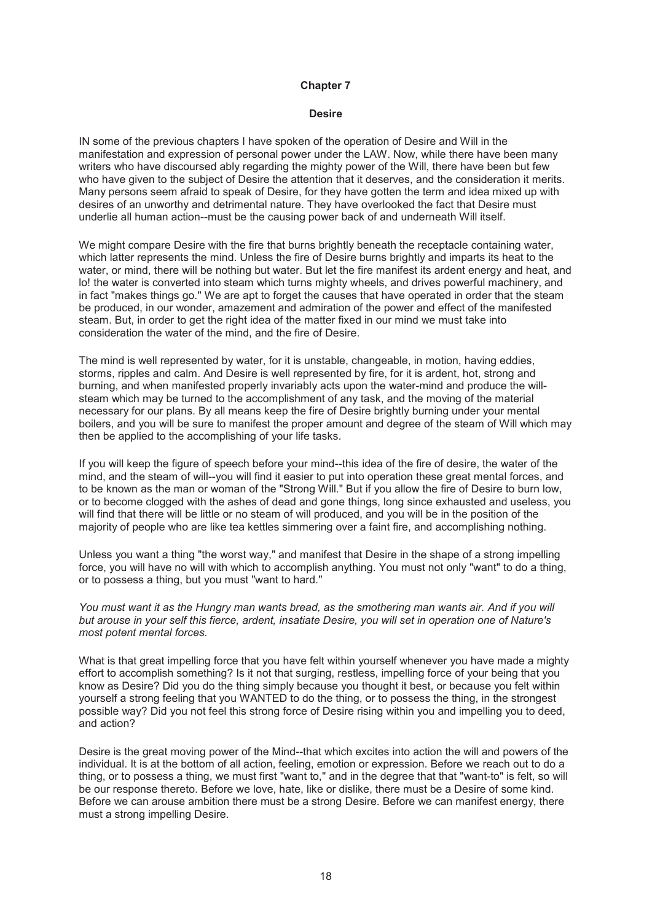#### **Desire**

IN some of the previous chapters I have spoken of the operation of Desire and Will in the manifestation and expression of personal power under the LAW. Now, while there have been many writers who have discoursed ably regarding the mighty power of the Will, there have been but few who have given to the subject of Desire the attention that it deserves, and the consideration it merits. Many persons seem afraid to speak of Desire, for they have gotten the term and idea mixed up with desires of an unworthy and detrimental nature. They have overlooked the fact that Desire must underlie all human action--must be the causing power back of and underneath Will itself.

We might compare Desire with the fire that burns brightly beneath the receptacle containing water, which latter represents the mind. Unless the fire of Desire burns brightly and imparts its heat to the water, or mind, there will be nothing but water. But let the fire manifest its ardent energy and heat, and lo! the water is converted into steam which turns mighty wheels, and drives powerful machinery, and in fact "makes things go." We are apt to forget the causes that have operated in order that the steam be produced, in our wonder, amazement and admiration of the power and effect of the manifested steam. But, in order to get the right idea of the matter fixed in our mind we must take into consideration the water of the mind, and the fire of Desire.

The mind is well represented by water, for it is unstable, changeable, in motion, having eddies, storms, ripples and calm. And Desire is well represented by fire, for it is ardent, hot, strong and burning, and when manifested properly invariably acts upon the water-mind and produce the willsteam which may be turned to the accomplishment of any task, and the moving of the material necessary for our plans. By all means keep the fire of Desire brightly burning under your mental boilers, and you will be sure to manifest the proper amount and degree of the steam of Will which may then be applied to the accomplishing of your life tasks.

If you will keep the figure of speech before your mind--this idea of the fire of desire, the water of the mind, and the steam of will--you will find it easier to put into operation these great mental forces, and to be known as the man or woman of the "Strong Will." But if you allow the fire of Desire to burn low, or to become clogged with the ashes of dead and gone things, long since exhausted and useless, you will find that there will be little or no steam of will produced, and you will be in the position of the majority of people who are like tea kettles simmering over a faint fire, and accomplishing nothing.

Unless you want a thing "the worst way," and manifest that Desire in the shape of a strong impelling force, you will have no will with which to accomplish anything. You must not only "want" to do a thing, or to possess a thing, but you must "want to hard."

*You must want it as the Hungry man wants bread, as the smothering man wants air. And if you will but arouse in your self this fierce, ardent, insatiate Desire, you will set in operation one of Nature's most potent mental forces.* 

What is that great impelling force that you have felt within yourself whenever you have made a mighty effort to accomplish something? Is it not that surging, restless, impelling force of your being that you know as Desire? Did you do the thing simply because you thought it best, or because you felt within yourself a strong feeling that you WANTED to do the thing, or to possess the thing, in the strongest possible way? Did you not feel this strong force of Desire rising within you and impelling you to deed, and action?

Desire is the great moving power of the Mind--that which excites into action the will and powers of the individual. It is at the bottom of all action, feeling, emotion or expression. Before we reach out to do a thing, or to possess a thing, we must first "want to," and in the degree that that "want-to" is felt, so will be our response thereto. Before we love, hate, like or dislike, there must be a Desire of some kind. Before we can arouse ambition there must be a strong Desire. Before we can manifest energy, there must a strong impelling Desire.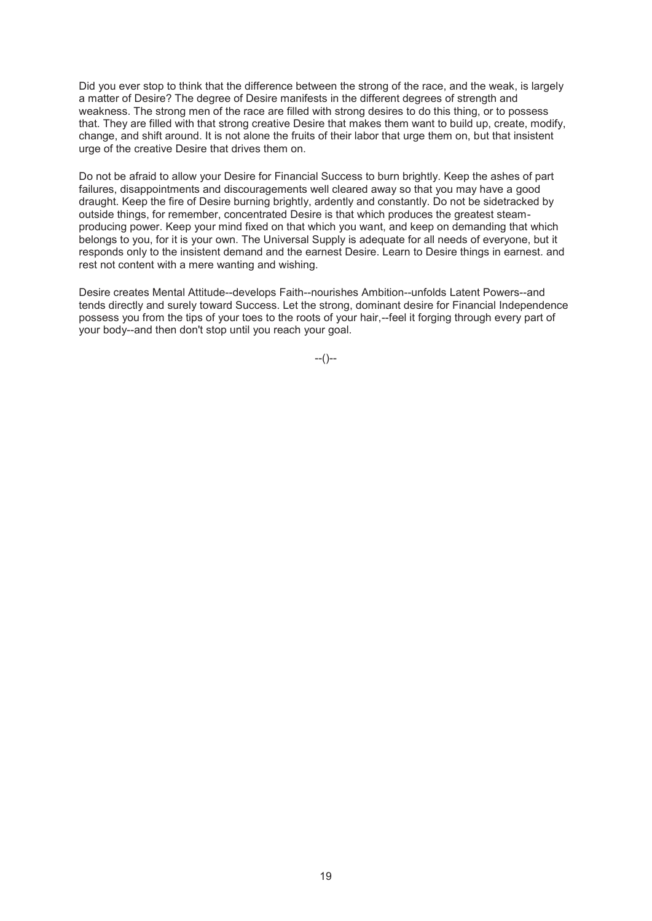Did you ever stop to think that the difference between the strong of the race, and the weak, is largely a matter of Desire? The degree of Desire manifests in the different degrees of strength and weakness. The strong men of the race are filled with strong desires to do this thing, or to possess that. They are filled with that strong creative Desire that makes them want to build up, create, modify, change, and shift around. It is not alone the fruits of their labor that urge them on, but that insistent urge of the creative Desire that drives them on.

Do not be afraid to allow your Desire for Financial Success to burn brightly. Keep the ashes of part failures, disappointments and discouragements well cleared away so that you may have a good draught. Keep the fire of Desire burning brightly, ardently and constantly. Do not be sidetracked by outside things, for remember, concentrated Desire is that which produces the greatest steamproducing power. Keep your mind fixed on that which you want, and keep on demanding that which belongs to you, for it is your own. The Universal Supply is adequate for all needs of everyone, but it responds only to the insistent demand and the earnest Desire. Learn to Desire things in earnest. and rest not content with a mere wanting and wishing.

Desire creates Mental Attitude--develops Faith--nourishes Ambition--unfolds Latent Powers--and tends directly and surely toward Success. Let the strong, dominant desire for Financial Independence possess you from the tips of your toes to the roots of your hair,--feel it forging through every part of your body--and then don't stop until you reach your goal.

 $-(-)$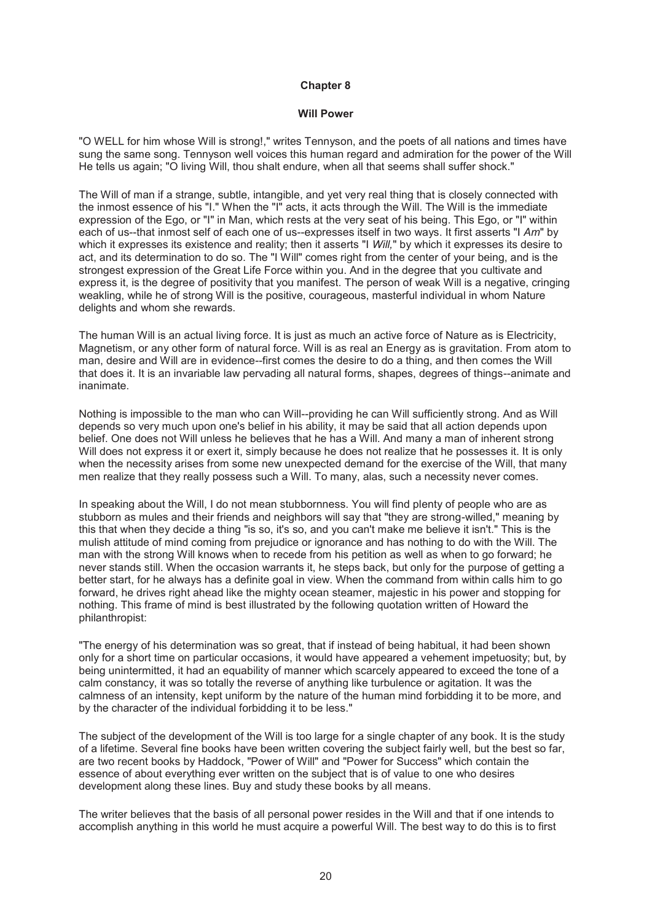#### **Will Power**

"O WELL for him whose Will is strong!," writes Tennyson, and the poets of all nations and times have sung the same song. Tennyson well voices this human regard and admiration for the power of the Will He tells us again; "O living Will, thou shalt endure, when all that seems shall suffer shock."

The Will of man if a strange, subtle, intangible, and yet very real thing that is closely connected with the inmost essence of his "I." When the "I" acts, it acts through the Will. The Will is the immediate expression of the Ego, or "I" in Man, which rests at the very seat of his being. This Ego, or "I" within each of us--that inmost self of each one of us--expresses itself in two ways. It first asserts "I *Am*" by which it expresses its existence and reality; then it asserts "I *Will,*" by which it expresses its desire to act, and its determination to do so. The "I Will" comes right from the center of your being, and is the strongest expression of the Great Life Force within you. And in the degree that you cultivate and express it, is the degree of positivity that you manifest. The person of weak Will is a negative, cringing weakling, while he of strong Will is the positive, courageous, masterful individual in whom Nature delights and whom she rewards.

The human Will is an actual living force. It is just as much an active force of Nature as is Electricity, Magnetism, or any other form of natural force. Will is as real an Energy as is gravitation. From atom to man, desire and Will are in evidence--first comes the desire to do a thing, and then comes the Will that does it. It is an invariable law pervading all natural forms, shapes, degrees of things--animate and inanimate.

Nothing is impossible to the man who can Will--providing he can Will sufficiently strong. And as Will depends so very much upon one's belief in his ability, it may be said that all action depends upon belief. One does not Will unless he believes that he has a Will. And many a man of inherent strong Will does not express it or exert it, simply because he does not realize that he possesses it. It is only when the necessity arises from some new unexpected demand for the exercise of the Will, that many men realize that they really possess such a Will. To many, alas, such a necessity never comes.

In speaking about the Will, I do not mean stubbornness. You will find plenty of people who are as stubborn as mules and their friends and neighbors will say that "they are strong-willed," meaning by this that when they decide a thing "is so, it's so, and you can't make me believe it isn't." This is the mulish attitude of mind coming from prejudice or ignorance and has nothing to do with the Will. The man with the strong Will knows when to recede from his petition as well as when to go forward; he never stands still. When the occasion warrants it, he steps back, but only for the purpose of getting a better start, for he always has a definite goal in view. When the command from within calls him to go forward, he drives right ahead like the mighty ocean steamer, majestic in his power and stopping for nothing. This frame of mind is best illustrated by the following quotation written of Howard the philanthropist:

"The energy of his determination was so great, that if instead of being habitual, it had been shown only for a short time on particular occasions, it would have appeared a vehement impetuosity; but, by being unintermitted, it had an equability of manner which scarcely appeared to exceed the tone of a calm constancy, it was so totally the reverse of anything like turbulence or agitation. It was the calmness of an intensity, kept uniform by the nature of the human mind forbidding it to be more, and by the character of the individual forbidding it to be less."

The subject of the development of the Will is too large for a single chapter of any book. It is the study of a lifetime. Several fine books have been written covering the subject fairly well, but the best so far, are two recent books by Haddock, "Power of Will" and "Power for Success" which contain the essence of about everything ever written on the subject that is of value to one who desires development along these lines. Buy and study these books by all means.

The writer believes that the basis of all personal power resides in the Will and that if one intends to accomplish anything in this world he must acquire a powerful Will. The best way to do this is to first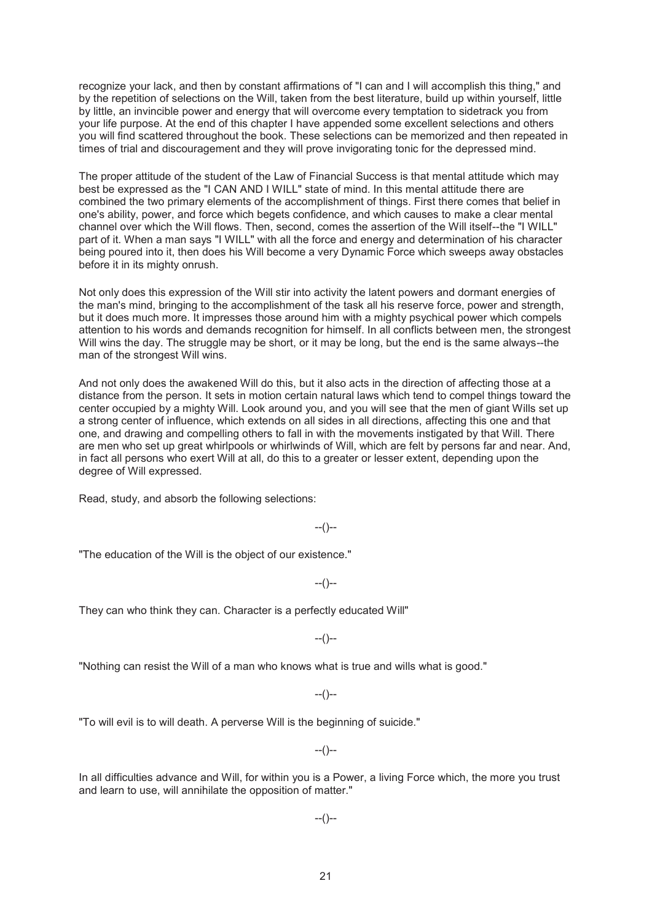recognize your lack, and then by constant affirmations of "I can and I will accomplish this thing," and by the repetition of selections on the Will, taken from the best literature, build up within yourself, little by little, an invincible power and energy that will overcome every temptation to sidetrack you from your life purpose. At the end of this chapter I have appended some excellent selections and others you will find scattered throughout the book. These selections can be memorized and then repeated in times of trial and discouragement and they will prove invigorating tonic for the depressed mind.

The proper attitude of the student of the Law of Financial Success is that mental attitude which may best be expressed as the "I CAN AND I WILL" state of mind. In this mental attitude there are combined the two primary elements of the accomplishment of things. First there comes that belief in one's ability, power, and force which begets confidence, and which causes to make a clear mental channel over which the Will flows. Then, second, comes the assertion of the Will itself--the "I WILL" part of it. When a man says "I WILL" with all the force and energy and determination of his character being poured into it, then does his Will become a very Dynamic Force which sweeps away obstacles before it in its mighty onrush.

Not only does this expression of the Will stir into activity the latent powers and dormant energies of the man's mind, bringing to the accomplishment of the task all his reserve force, power and strength, but it does much more. It impresses those around him with a mighty psychical power which compels attention to his words and demands recognition for himself. In all conflicts between men, the strongest Will wins the day. The struggle may be short, or it may be long, but the end is the same always--the man of the strongest Will wins.

And not only does the awakened Will do this, but it also acts in the direction of affecting those at a distance from the person. It sets in motion certain natural laws which tend to compel things toward the center occupied by a mighty Will. Look around you, and you will see that the men of giant Wills set up a strong center of influence, which extends on all sides in all directions, affecting this one and that one, and drawing and compelling others to fall in with the movements instigated by that Will. There are men who set up great whirlpools or whirlwinds of Will, which are felt by persons far and near. And, in fact all persons who exert Will at all, do this to a greater or lesser extent, depending upon the degree of Will expressed.

Read, study, and absorb the following selections:

 $-(-)$ 

"The education of the Will is the object of our existence."

 $-(-)$ 

They can who think they can. Character is a perfectly educated Will"

--()--

"Nothing can resist the Will of a man who knows what is true and wills what is good."

 $-(-)$ 

"To will evil is to will death. A perverse Will is the beginning of suicide."

 $-(-)$ 

In all difficulties advance and Will, for within you is a Power, a living Force which, the more you trust and learn to use, will annihilate the opposition of matter."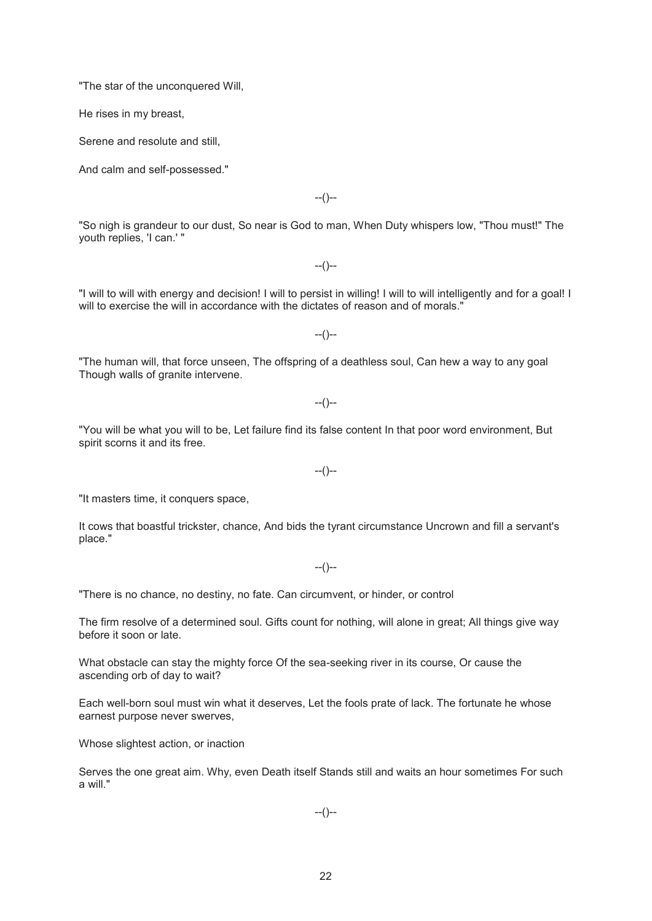"The star of the unconquered Will,

He rises in my breast,

Serene and resolute and still,

And calm and self-possessed."

 $-(-)$ 

"So nigh is grandeur to our dust, So near is God to man, When Duty whispers low, "Thou must!" The youth replies, 'I can.' "

 $-(-)$ 

"I will to will with energy and decision! I will to persist in willing! I will to will intelligently and for a goal! I will to exercise the will in accordance with the dictates of reason and of morals."

 $-(-)$ 

"The human will, that force unseen, The offspring of a deathless soul, Can hew a way to any goal Though walls of granite intervene.

 $-(-)$ 

"You will be what you will to be, Let failure find its false content In that poor word environment, But spirit scorns it and its free.

--()--

"It masters time, it conquers space,

It cows that boastful trickster, chance, And bids the tyrant circumstance Uncrown and fill a servant's place."

 $-(-)$ 

"There is no chance, no destiny, no fate. Can circumvent, or hinder, or control

The firm resolve of a determined soul. Gifts count for nothing, will alone in great; All things give way before it soon or late.

What obstacle can stay the mighty force Of the sea-seeking river in its course, Or cause the ascending orb of day to wait?

Each well-born soul must win what it deserves, Let the fools prate of lack. The fortunate he whose earnest purpose never swerves,

Whose slightest action, or inaction

Serves the one great aim. Why, even Death itself Stands still and waits an hour sometimes For such a will."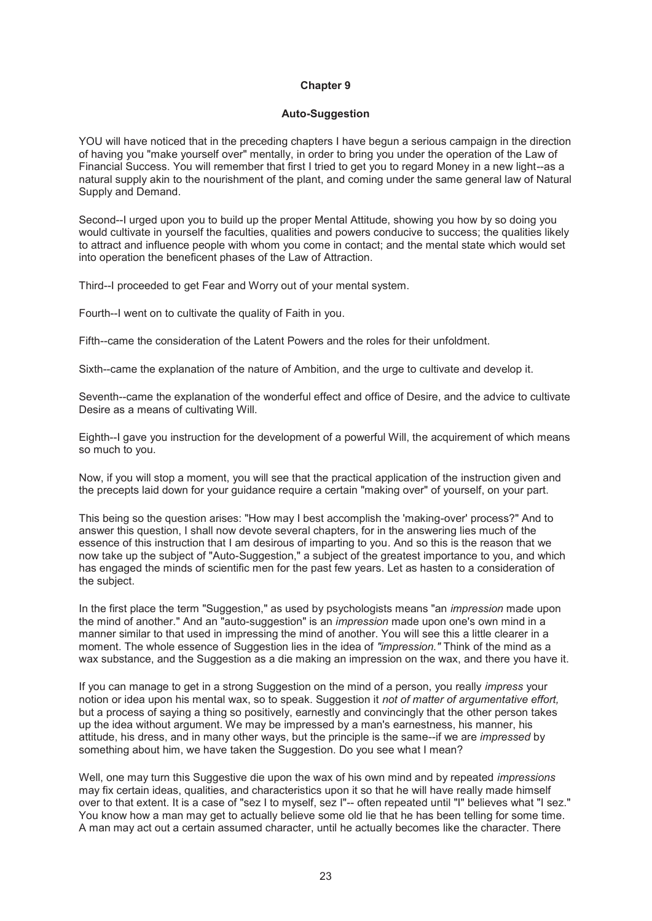# **Auto-Suggestion**

YOU will have noticed that in the preceding chapters I have begun a serious campaign in the direction of having you "make yourself over" mentally, in order to bring you under the operation of the Law of Financial Success. You will remember that first I tried to get you to regard Money in a new light--as a natural supply akin to the nourishment of the plant, and coming under the same general law of Natural Supply and Demand.

Second--I urged upon you to build up the proper Mental Attitude, showing you how by so doing you would cultivate in yourself the faculties, qualities and powers conducive to success; the qualities likely to attract and influence people with whom you come in contact; and the mental state which would set into operation the beneficent phases of the Law of Attraction.

Third--I proceeded to get Fear and Worry out of your mental system.

Fourth--I went on to cultivate the quality of Faith in you.

Fifth--came the consideration of the Latent Powers and the roles for their unfoldment.

Sixth--came the explanation of the nature of Ambition, and the urge to cultivate and develop it.

Seventh--came the explanation of the wonderful effect and office of Desire, and the advice to cultivate Desire as a means of cultivating Will.

Eighth--I gave you instruction for the development of a powerful Will, the acquirement of which means so much to you.

Now, if you will stop a moment, you will see that the practical application of the instruction given and the precepts laid down for your guidance require a certain "making over" of yourself, on your part.

This being so the question arises: "How may I best accomplish the 'making-over' process?" And to answer this question, I shall now devote several chapters, for in the answering lies much of the essence of this instruction that I am desirous of imparting to you. And so this is the reason that we now take up the subject of "Auto-Suggestion," a subject of the greatest importance to you, and which has engaged the minds of scientific men for the past few years. Let as hasten to a consideration of the subject.

In the first place the term "Suggestion," as used by psychologists means "an *impression* made upon the mind of another." And an "auto-suggestion" is an *impression* made upon one's own mind in a manner similar to that used in impressing the mind of another. You will see this a little clearer in a moment. The whole essence of Suggestion lies in the idea of *"impression."* Think of the mind as a wax substance, and the Suggestion as a die making an impression on the wax, and there you have it.

If you can manage to get in a strong Suggestion on the mind of a person, you really *impress* your notion or idea upon his mental wax, so to speak. Suggestion it *not of matter of argumentative effort,*  but a process of saying a thing so positively, earnestly and convincingly that the other person takes up the idea without argument. We may be impressed by a man's earnestness, his manner, his attitude, his dress, and in many other ways, but the principle is the same--if we are *impressed* by something about him, we have taken the Suggestion. Do you see what I mean?

Well, one may turn this Suggestive die upon the wax of his own mind and by repeated *impressions*  may fix certain ideas, qualities, and characteristics upon it so that he will have really made himself over to that extent. It is a case of "sez I to myself, sez I"-- often repeated until "I" believes what "I sez." You know how a man may get to actually believe some old lie that he has been telling for some time. A man may act out a certain assumed character, until he actually becomes like the character. There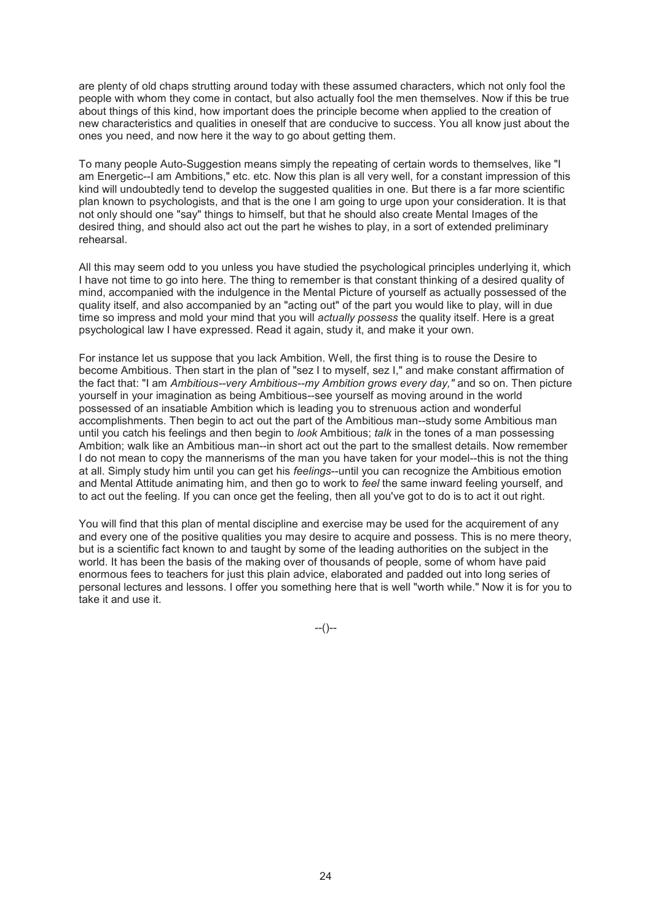are plenty of old chaps strutting around today with these assumed characters, which not only fool the people with whom they come in contact, but also actually fool the men themselves. Now if this be true about things of this kind, how important does the principle become when applied to the creation of new characteristics and qualities in oneself that are conducive to success. You all know just about the ones you need, and now here it the way to go about getting them.

To many people Auto-Suggestion means simply the repeating of certain words to themselves, like "I am Energetic--I am Ambitions," etc. etc. Now this plan is all very well, for a constant impression of this kind will undoubtedly tend to develop the suggested qualities in one. But there is a far more scientific plan known to psychologists, and that is the one I am going to urge upon your consideration. It is that not only should one "say" things to himself, but that he should also create Mental Images of the desired thing, and should also act out the part he wishes to play, in a sort of extended preliminary rehearsal.

All this may seem odd to you unless you have studied the psychological principles underlying it, which I have not time to go into here. The thing to remember is that constant thinking of a desired quality of mind, accompanied with the indulgence in the Mental Picture of yourself as actually possessed of the quality itself, and also accompanied by an "acting out" of the part you would like to play, will in due time so impress and mold your mind that you will *actually possess* the quality itself. Here is a great psychological law I have expressed. Read it again, study it, and make it your own.

For instance let us suppose that you lack Ambition. Well, the first thing is to rouse the Desire to become Ambitious. Then start in the plan of "sez I to myself, sez I," and make constant affirmation of the fact that: "I am *Ambitious--very Ambitious--my Ambition grows every day,"* and so on. Then picture yourself in your imagination as being Ambitious--see yourself as moving around in the world possessed of an insatiable Ambition which is leading you to strenuous action and wonderful accomplishments. Then begin to act out the part of the Ambitious man--study some Ambitious man until you catch his feelings and then begin to *look* Ambitious; *talk* in the tones of a man possessing Ambition; walk like an Ambitious man--in short act out the part to the smallest details. Now remember I do not mean to copy the mannerisms of the man you have taken for your model--this is not the thing at all. Simply study him until you can get his *feelings*--until you can recognize the Ambitious emotion and Mental Attitude animating him, and then go to work to *feel* the same inward feeling yourself, and to act out the feeling. If you can once get the feeling, then all you've got to do is to act it out right.

You will find that this plan of mental discipline and exercise may be used for the acquirement of any and every one of the positive qualities you may desire to acquire and possess. This is no mere theory, but is a scientific fact known to and taught by some of the leading authorities on the subject in the world. It has been the basis of the making over of thousands of people, some of whom have paid enormous fees to teachers for just this plain advice, elaborated and padded out into long series of personal lectures and lessons. I offer you something here that is well "worth while." Now it is for you to take it and use it.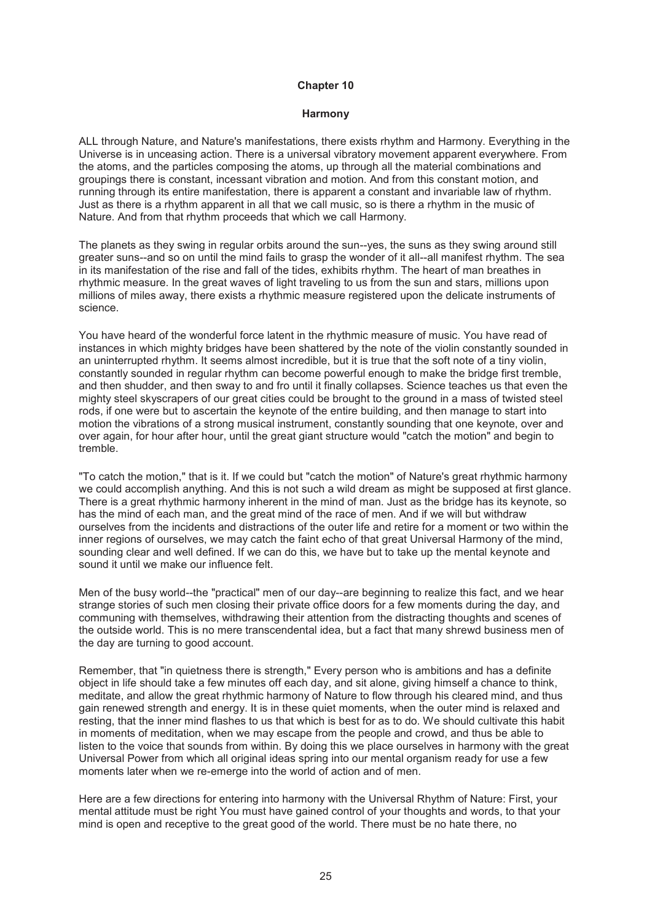#### **Harmony**

ALL through Nature, and Nature's manifestations, there exists rhythm and Harmony. Everything in the Universe is in unceasing action. There is a universal vibratory movement apparent everywhere. From the atoms, and the particles composing the atoms, up through all the material combinations and groupings there is constant, incessant vibration and motion. And from this constant motion, and running through its entire manifestation, there is apparent a constant and invariable law of rhythm. Just as there is a rhythm apparent in all that we call music, so is there a rhythm in the music of Nature. And from that rhythm proceeds that which we call Harmony.

The planets as they swing in regular orbits around the sun--yes, the suns as they swing around still greater suns--and so on until the mind fails to grasp the wonder of it all--all manifest rhythm. The sea in its manifestation of the rise and fall of the tides, exhibits rhythm. The heart of man breathes in rhythmic measure. In the great waves of light traveling to us from the sun and stars, millions upon millions of miles away, there exists a rhythmic measure registered upon the delicate instruments of science.

You have heard of the wonderful force latent in the rhythmic measure of music. You have read of instances in which mighty bridges have been shattered by the note of the violin constantly sounded in an uninterrupted rhythm. It seems almost incredible, but it is true that the soft note of a tiny violin, constantly sounded in regular rhythm can become powerful enough to make the bridge first tremble, and then shudder, and then sway to and fro until it finally collapses. Science teaches us that even the mighty steel skyscrapers of our great cities could be brought to the ground in a mass of twisted steel rods, if one were but to ascertain the keynote of the entire building, and then manage to start into motion the vibrations of a strong musical instrument, constantly sounding that one keynote, over and over again, for hour after hour, until the great giant structure would "catch the motion" and begin to tremble.

"To catch the motion," that is it. If we could but "catch the motion" of Nature's great rhythmic harmony we could accomplish anything. And this is not such a wild dream as might be supposed at first glance. There is a great rhythmic harmony inherent in the mind of man. Just as the bridge has its keynote, so has the mind of each man, and the great mind of the race of men. And if we will but withdraw ourselves from the incidents and distractions of the outer life and retire for a moment or two within the inner regions of ourselves, we may catch the faint echo of that great Universal Harmony of the mind, sounding clear and well defined. If we can do this, we have but to take up the mental keynote and sound it until we make our influence felt.

Men of the busy world--the "practical" men of our day--are beginning to realize this fact, and we hear strange stories of such men closing their private office doors for a few moments during the day, and communing with themselves, withdrawing their attention from the distracting thoughts and scenes of the outside world. This is no mere transcendental idea, but a fact that many shrewd business men of the day are turning to good account.

Remember, that "in quietness there is strength," Every person who is ambitions and has a definite object in life should take a few minutes off each day, and sit alone, giving himself a chance to think, meditate, and allow the great rhythmic harmony of Nature to flow through his cleared mind, and thus gain renewed strength and energy. It is in these quiet moments, when the outer mind is relaxed and resting, that the inner mind flashes to us that which is best for as to do. We should cultivate this habit in moments of meditation, when we may escape from the people and crowd, and thus be able to listen to the voice that sounds from within. By doing this we place ourselves in harmony with the great Universal Power from which all original ideas spring into our mental organism ready for use a few moments later when we re-emerge into the world of action and of men.

Here are a few directions for entering into harmony with the Universal Rhythm of Nature: First, your mental attitude must be right You must have gained control of your thoughts and words, to that your mind is open and receptive to the great good of the world. There must be no hate there, no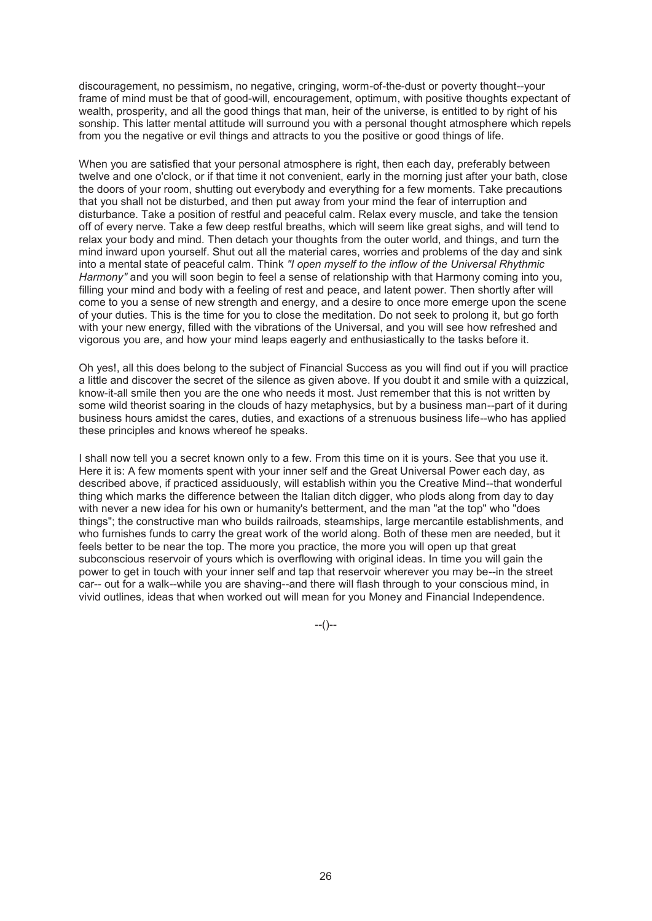discouragement, no pessimism, no negative, cringing, worm-of-the-dust or poverty thought--your frame of mind must be that of good-will, encouragement, optimum, with positive thoughts expectant of wealth, prosperity, and all the good things that man, heir of the universe, is entitled to by right of his sonship. This latter mental attitude will surround you with a personal thought atmosphere which repels from you the negative or evil things and attracts to you the positive or good things of life.

When you are satisfied that your personal atmosphere is right, then each day, preferably between twelve and one o'clock, or if that time it not convenient, early in the morning just after your bath, close the doors of your room, shutting out everybody and everything for a few moments. Take precautions that you shall not be disturbed, and then put away from your mind the fear of interruption and disturbance. Take a position of restful and peaceful calm. Relax every muscle, and take the tension off of every nerve. Take a few deep restful breaths, which will seem like great sighs, and will tend to relax your body and mind. Then detach your thoughts from the outer world, and things, and turn the mind inward upon yourself. Shut out all the material cares, worries and problems of the day and sink into a mental state of peaceful calm. Think *"I open myself to the inflow of the Universal Rhythmic Harmony"* and you will soon begin to feel a sense of relationship with that Harmony coming into you, filling your mind and body with a feeling of rest and peace, and latent power. Then shortly after will come to you a sense of new strength and energy, and a desire to once more emerge upon the scene of your duties. This is the time for you to close the meditation. Do not seek to prolong it, but go forth with your new energy, filled with the vibrations of the Universal, and you will see how refreshed and vigorous you are, and how your mind leaps eagerly and enthusiastically to the tasks before it.

Oh yes!, all this does belong to the subject of Financial Success as you will find out if you will practice a little and discover the secret of the silence as given above. If you doubt it and smile with a quizzical, know-it-all smile then you are the one who needs it most. Just remember that this is not written by some wild theorist soaring in the clouds of hazy metaphysics, but by a business man--part of it during business hours amidst the cares, duties, and exactions of a strenuous business life--who has applied these principles and knows whereof he speaks.

I shall now tell you a secret known only to a few. From this time on it is yours. See that you use it. Here it is: A few moments spent with your inner self and the Great Universal Power each day, as described above, if practiced assiduously, will establish within you the Creative Mind--that wonderful thing which marks the difference between the Italian ditch digger, who plods along from day to day with never a new idea for his own or humanity's betterment, and the man "at the top" who "does things"; the constructive man who builds railroads, steamships, large mercantile establishments, and who furnishes funds to carry the great work of the world along. Both of these men are needed, but it feels better to be near the top. The more you practice, the more you will open up that great subconscious reservoir of yours which is overflowing with original ideas. In time you will gain the power to get in touch with your inner self and tap that reservoir wherever you may be--in the street car-- out for a walk--while you are shaving--and there will flash through to your conscious mind, in vivid outlines, ideas that when worked out will mean for you Money and Financial Independence.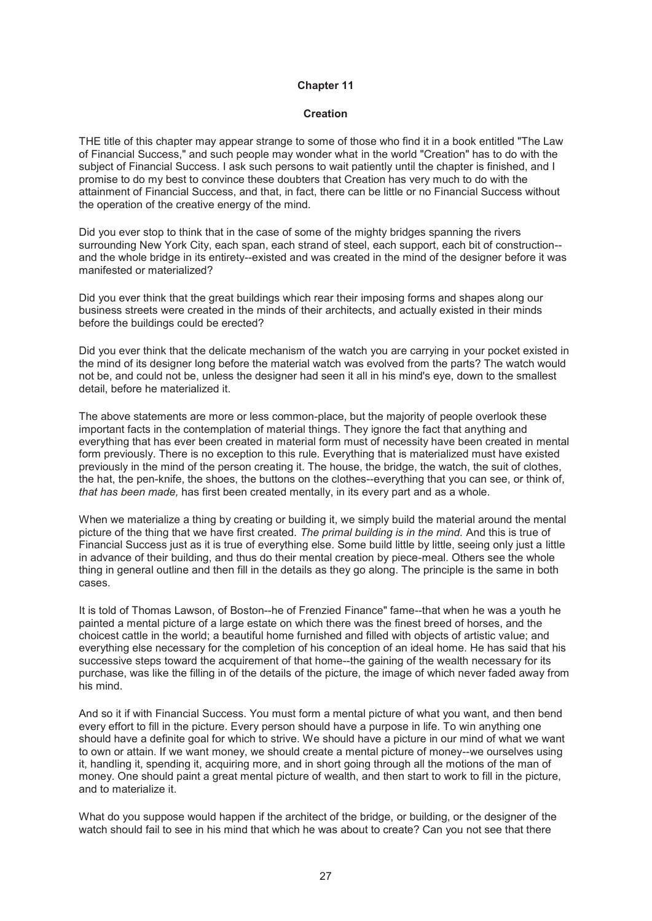#### **Creation**

THE title of this chapter may appear strange to some of those who find it in a book entitled "The Law of Financial Success," and such people may wonder what in the world "Creation" has to do with the subject of Financial Success. I ask such persons to wait patiently until the chapter is finished, and I promise to do my best to convince these doubters that Creation has very much to do with the attainment of Financial Success, and that, in fact, there can be little or no Financial Success without the operation of the creative energy of the mind.

Did you ever stop to think that in the case of some of the mighty bridges spanning the rivers surrounding New York City, each span, each strand of steel, each support, each bit of construction- and the whole bridge in its entirety--existed and was created in the mind of the designer before it was manifested or materialized?

Did you ever think that the great buildings which rear their imposing forms and shapes along our business streets were created in the minds of their architects, and actually existed in their minds before the buildings could be erected?

Did you ever think that the delicate mechanism of the watch you are carrying in your pocket existed in the mind of its designer long before the material watch was evolved from the parts? The watch would not be, and could not be, unless the designer had seen it all in his mind's eye, down to the smallest detail, before he materialized it.

The above statements are more or less common-place, but the majority of people overlook these important facts in the contemplation of material things. They ignore the fact that anything and everything that has ever been created in material form must of necessity have been created in mental form previously. There is no exception to this rule. Everything that is materialized must have existed previously in the mind of the person creating it. The house, the bridge, the watch, the suit of clothes, the hat, the pen-knife, the shoes, the buttons on the clothes--everything that you can see, or think of, *that has been made,* has first been created mentally, in its every part and as a whole.

When we materialize a thing by creating or building it, we simply build the material around the mental picture of the thing that we have first created. *The primal building is in the mind.* And this is true of Financial Success just as it is true of everything else. Some build little by little, seeing only just a little in advance of their building, and thus do their mental creation by piece-meal. Others see the whole thing in general outline and then fill in the details as they go along. The principle is the same in both cases.

It is told of Thomas Lawson, of Boston--he of Frenzied Finance" fame--that when he was a youth he painted a mental picture of a large estate on which there was the finest breed of horses, and the choicest cattle in the world; a beautiful home furnished and filled with objects of artistic value; and everything else necessary for the completion of his conception of an ideal home. He has said that his successive steps toward the acquirement of that home--the gaining of the wealth necessary for its purchase, was like the filling in of the details of the picture, the image of which never faded away from his mind.

And so it if with Financial Success. You must form a mental picture of what you want, and then bend every effort to fill in the picture. Every person should have a purpose in life. To win anything one should have a definite goal for which to strive. We should have a picture in our mind of what we want to own or attain. If we want money, we should create a mental picture of money--we ourselves using it, handling it, spending it, acquiring more, and in short going through all the motions of the man of money. One should paint a great mental picture of wealth, and then start to work to fill in the picture, and to materialize it.

What do you suppose would happen if the architect of the bridge, or building, or the designer of the watch should fail to see in his mind that which he was about to create? Can you not see that there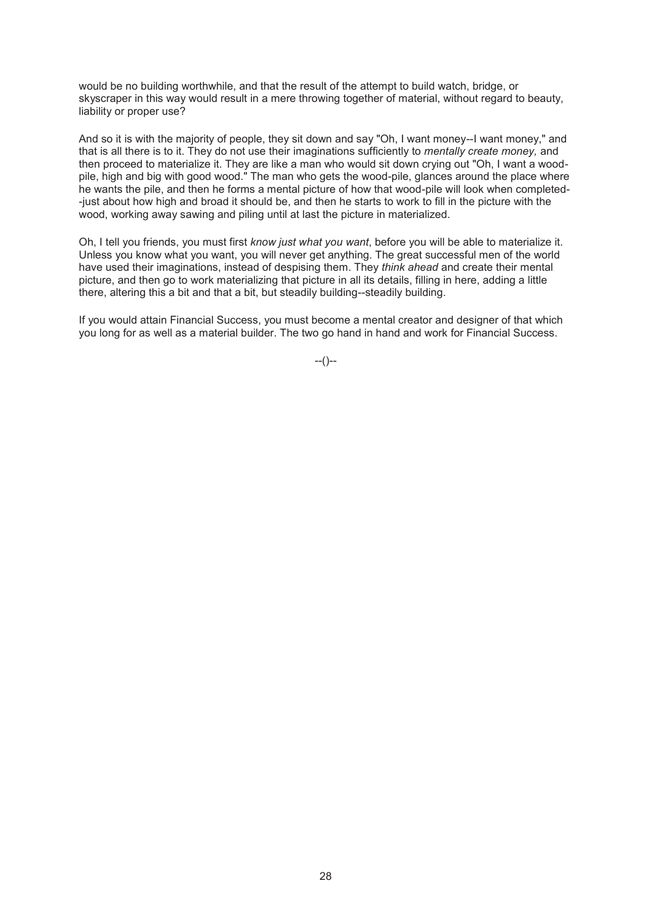would be no building worthwhile, and that the result of the attempt to build watch, bridge, or skyscraper in this way would result in a mere throwing together of material, without regard to beauty, liability or proper use?

And so it is with the majority of people, they sit down and say "Oh, I want money--I want money," and that is all there is to it. They do not use their imaginations sufficiently to *mentally create money,* and then proceed to materialize it. They are like a man who would sit down crying out "Oh, I want a woodpile, high and big with good wood." The man who gets the wood-pile, glances around the place where he wants the pile, and then he forms a mental picture of how that wood-pile will look when completed- -just about how high and broad it should be, and then he starts to work to fill in the picture with the wood, working away sawing and piling until at last the picture in materialized.

Oh, I tell you friends, you must first *know just what you want*, before you will be able to materialize it. Unless you know what you want, you will never get anything. The great successful men of the world have used their imaginations, instead of despising them. They *think ahead* and create their mental picture, and then go to work materializing that picture in all its details, filling in here, adding a little there, altering this a bit and that a bit, but steadily building--steadily building.

If you would attain Financial Success, you must become a mental creator and designer of that which you long for as well as a material builder. The two go hand in hand and work for Financial Success.

 $-(-)$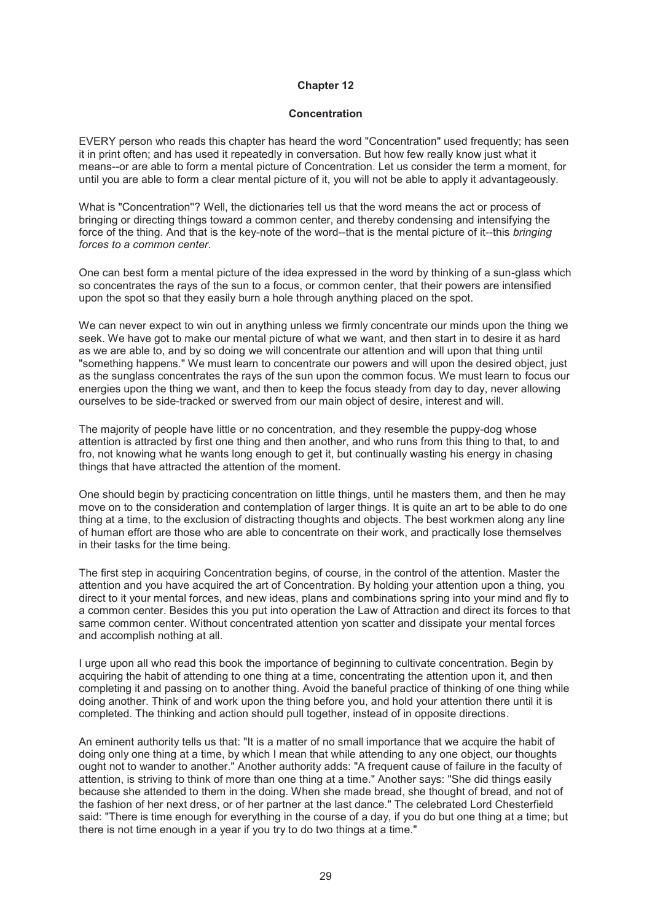#### **Concentration**

EVERY person who reads this chapter has heard the word "Concentration" used frequently; has seen it in print often; and has used it repeatedly in conversation. But how few really know just what it means--or are able to form a mental picture of Concentration. Let us consider the term a moment, for until you are able to form a clear mental picture of it, you will not be able to apply it advantageously.

What is "Concentration''? Well, the dictionaries tell us that the word means the act or process of bringing or directing things toward a common center, and thereby condensing and intensifying the force of the thing. And that is the key-note of the word--that is the mental picture of it--this *bringing forces to a common center.* 

One can best form a mental picture of the idea expressed in the word by thinking of a sun-glass which so concentrates the rays of the sun to a focus, or common center, that their powers are intensified upon the spot so that they easily burn a hole through anything placed on the spot.

We can never expect to win out in anything unless we firmly concentrate our minds upon the thing we seek. We have got to make our mental picture of what we want, and then start in to desire it as hard as we are able to, and by so doing we will concentrate our attention and will upon that thing until "something happens." We must learn to concentrate our powers and will upon the desired object, just as the sunglass concentrates the rays of the sun upon the common focus. We must learn to focus our energies upon the thing we want, and then to keep the focus steady from day to day, never allowing ourselves to be side-tracked or swerved from our main object of desire, interest and will.

The majority of people have little or no concentration, and they resemble the puppy-dog whose attention is attracted by first one thing and then another, and who runs from this thing to that, to and fro, not knowing what he wants long enough to get it, but continually wasting his energy in chasing things that have attracted the attention of the moment.

One should begin by practicing concentration on little things, until he masters them, and then he may move on to the consideration and contemplation of larger things. It is quite an art to be able to do one thing at a time, to the exclusion of distracting thoughts and objects. The best workmen along any line of human effort are those who are able to concentrate on their work, and practically lose themselves in their tasks for the time being.

The first step in acquiring Concentration begins, of course, in the control of the attention. Master the attention and you have acquired the art of Concentration. By holding your attention upon a thing, you direct to it your mental forces, and new ideas, plans and combinations spring into your mind and fly to a common center. Besides this you put into operation the Law of Attraction and direct its forces to that same common center. Without concentrated attention yon scatter and dissipate your mental forces and accomplish nothing at all.

I urge upon all who read this book the importance of beginning to cultivate concentration. Begin by acquiring the habit of attending to one thing at a time, concentrating the attention upon it, and then completing it and passing on to another thing. Avoid the baneful practice of thinking of one thing while doing another. Think of and work upon the thing before you, and hold your attention there until it is completed. The thinking and action should pull together, instead of in opposite directions.

An eminent authority tells us that: "It is a matter of no small importance that we acquire the habit of doing only one thing at a time, by which I mean that while attending to any one object, our thoughts ought not to wander to another." Another authority adds: "A frequent cause of failure in the faculty of attention, is striving to think of more than one thing at a time." Another says: "She did things easily because she attended to them in the doing. When she made bread, she thought of bread, and not of the fashion of her next dress, or of her partner at the last dance." The celebrated Lord Chesterfield said: "There is time enough for everything in the course of a day, if you do but one thing at a time; but there is not time enough in a year if you try to do two things at a time."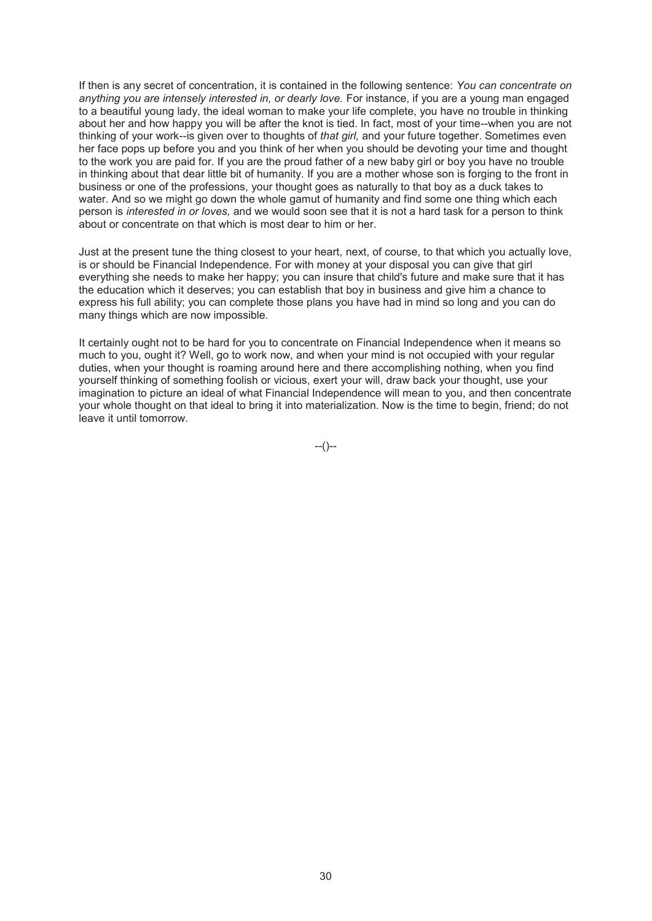If then is any secret of concentration, it is contained in the following sentence: *You can concentrate on anything you are intensely interested in, or dearly love.* For instance, if you are a young man engaged to a beautiful young lady, the ideal woman to make your life complete, you have no trouble in thinking about her and how happy you will be after the knot is tied. In fact, most of your time--when you are not thinking of your work--is given over to thoughts of *that girl,* and your future together. Sometimes even her face pops up before you and you think of her when you should be devoting your time and thought to the work you are paid for. If you are the proud father of a new baby girl or boy you have no trouble in thinking about that dear little bit of humanity. If you are a mother whose son is forging to the front in business or one of the professions, your thought goes as naturally to that boy as a duck takes to water. And so we might go down the whole gamut of humanity and find some one thing which each person is *interested in or loves,* and we would soon see that it is not a hard task for a person to think about or concentrate on that which is most dear to him or her.

Just at the present tune the thing closest to your heart, next, of course, to that which you actually love, is or should be Financial Independence. For with money at your disposal you can give that girl everything she needs to make her happy; you can insure that child's future and make sure that it has the education which it deserves; you can establish that boy in business and give him a chance to express his full ability; you can complete those plans you have had in mind so long and you can do many things which are now impossible.

It certainly ought not to be hard for you to concentrate on Financial Independence when it means so much to you, ought it? Well, go to work now, and when your mind is not occupied with your regular duties, when your thought is roaming around here and there accomplishing nothing, when you find yourself thinking of something foolish or vicious, exert your will, draw back your thought, use your imagination to picture an ideal of what Financial Independence will mean to you, and then concentrate your whole thought on that ideal to bring it into materialization. Now is the time to begin, friend; do not leave it until tomorrow.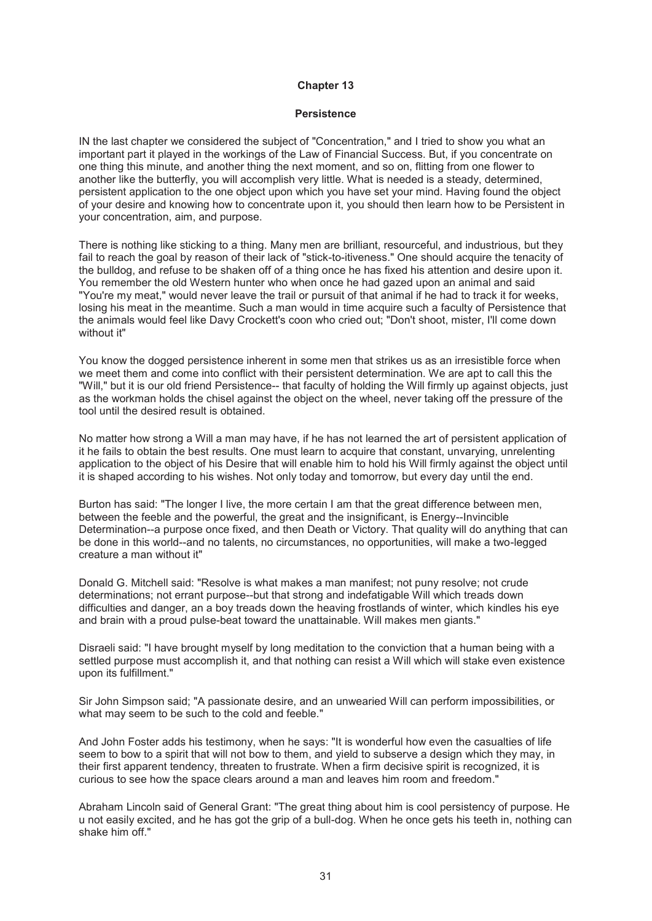#### **Persistence**

IN the last chapter we considered the subject of "Concentration," and I tried to show you what an important part it played in the workings of the Law of Financial Success. But, if you concentrate on one thing this minute, and another thing the next moment, and so on, flitting from one flower to another like the butterfly, you will accomplish very little. What is needed is a steady, determined, persistent application to the one object upon which you have set your mind. Having found the object of your desire and knowing how to concentrate upon it, you should then learn how to be Persistent in your concentration, aim, and purpose.

There is nothing like sticking to a thing. Many men are brilliant, resourceful, and industrious, but they fail to reach the goal by reason of their lack of "stick-to-itiveness." One should acquire the tenacity of the bulldog, and refuse to be shaken off of a thing once he has fixed his attention and desire upon it. You remember the old Western hunter who when once he had gazed upon an animal and said "You're my meat," would never leave the trail or pursuit of that animal if he had to track it for weeks, losing his meat in the meantime. Such a man would in time acquire such a faculty of Persistence that the animals would feel like Davy Crockett's coon who cried out; "Don't shoot, mister, I'll come down without it"

You know the dogged persistence inherent in some men that strikes us as an irresistible force when we meet them and come into conflict with their persistent determination. We are apt to call this the "Will," but it is our old friend Persistence-- that faculty of holding the Will firmly up against objects, just as the workman holds the chisel against the object on the wheel, never taking off the pressure of the tool until the desired result is obtained.

No matter how strong a Will a man may have, if he has not learned the art of persistent application of it he fails to obtain the best results. One must learn to acquire that constant, unvarying, unrelenting application to the object of his Desire that will enable him to hold his Will firmly against the object until it is shaped according to his wishes. Not only today and tomorrow, but every day until the end.

Burton has said: "The longer I live, the more certain I am that the great difference between men, between the feeble and the powerful, the great and the insignificant, is Energy--Invincible Determination--a purpose once fixed, and then Death or Victory. That quality will do anything that can be done in this world--and no talents, no circumstances, no opportunities, will make a two-legged creature a man without it"

Donald G. Mitchell said: "Resolve is what makes a man manifest; not puny resolve; not crude determinations; not errant purpose--but that strong and indefatigable Will which treads down difficulties and danger, an a boy treads down the heaving frostlands of winter, which kindles his eye and brain with a proud pulse-beat toward the unattainable. Will makes men giants."

Disraeli said: "I have brought myself by long meditation to the conviction that a human being with a settled purpose must accomplish it, and that nothing can resist a Will which will stake even existence upon its fulfillment."

Sir John Simpson said; "A passionate desire, and an unwearied Will can perform impossibilities, or what may seem to be such to the cold and feeble."

And John Foster adds his testimony, when he says: "It is wonderful how even the casualties of life seem to bow to a spirit that will not bow to them, and yield to subserve a design which they may, in their first apparent tendency, threaten to frustrate. When a firm decisive spirit is recognized, it is curious to see how the space clears around a man and leaves him room and freedom."

Abraham Lincoln said of General Grant: "The great thing about him is cool persistency of purpose. He u not easily excited, and he has got the grip of a bull-dog. When he once gets his teeth in, nothing can shake him off."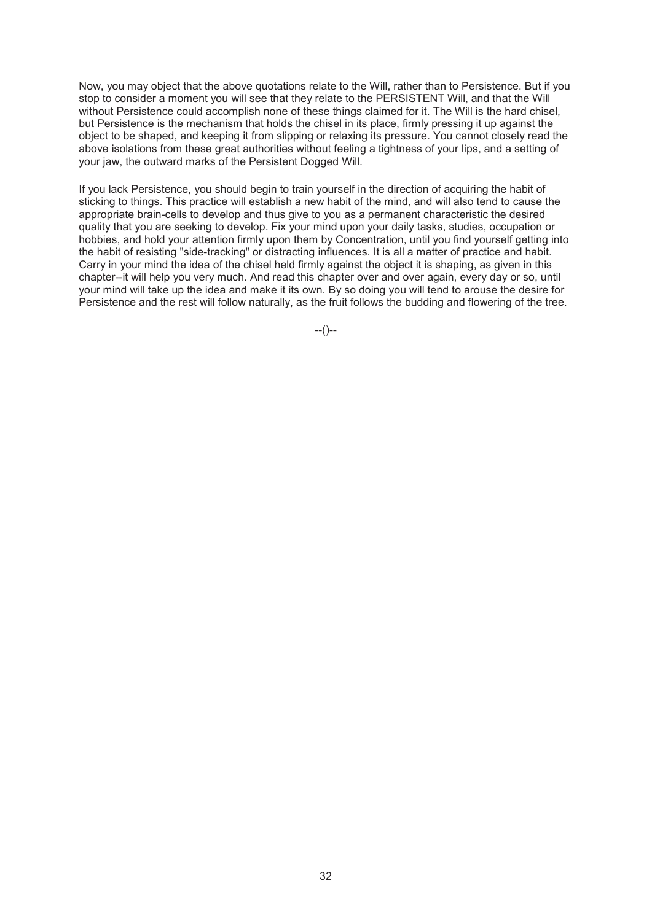Now, you may object that the above quotations relate to the Will, rather than to Persistence. But if you stop to consider a moment you will see that they relate to the PERSISTENT Will, and that the Will without Persistence could accomplish none of these things claimed for it. The Will is the hard chisel, but Persistence is the mechanism that holds the chisel in its place, firmly pressing it up against the object to be shaped, and keeping it from slipping or relaxing its pressure. You cannot closely read the above isolations from these great authorities without feeling a tightness of your lips, and a setting of your jaw, the outward marks of the Persistent Dogged Will.

If you lack Persistence, you should begin to train yourself in the direction of acquiring the habit of sticking to things. This practice will establish a new habit of the mind, and will also tend to cause the appropriate brain-cells to develop and thus give to you as a permanent characteristic the desired quality that you are seeking to develop. Fix your mind upon your daily tasks, studies, occupation or hobbies, and hold your attention firmly upon them by Concentration, until you find yourself getting into the habit of resisting "side-tracking" or distracting influences. It is all a matter of practice and habit. Carry in your mind the idea of the chisel held firmly against the object it is shaping, as given in this chapter--it will help you very much. And read this chapter over and over again, every day or so, until your mind will take up the idea and make it its own. By so doing you will tend to arouse the desire for Persistence and the rest will follow naturally, as the fruit follows the budding and flowering of the tree.

 $-(-)$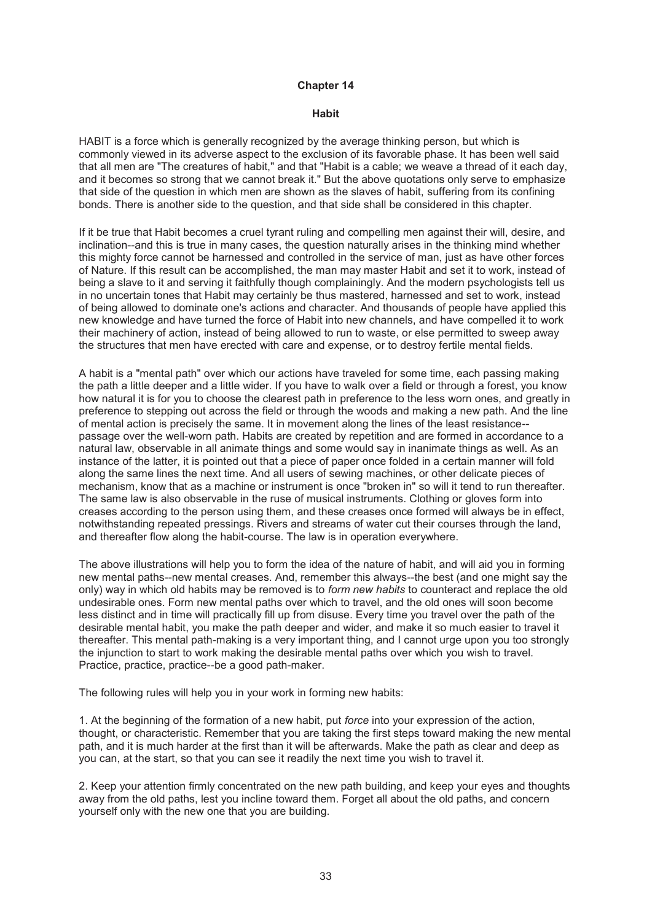#### **Habit**

HABIT is a force which is generally recognized by the average thinking person, but which is commonly viewed in its adverse aspect to the exclusion of its favorable phase. It has been well said that all men are "The creatures of habit," and that "Habit is a cable; we weave a thread of it each day, and it becomes so strong that we cannot break it." But the above quotations only serve to emphasize that side of the question in which men are shown as the slaves of habit, suffering from its confining bonds. There is another side to the question, and that side shall be considered in this chapter.

If it be true that Habit becomes a cruel tyrant ruling and compelling men against their will, desire, and inclination--and this is true in many cases, the question naturally arises in the thinking mind whether this mighty force cannot be harnessed and controlled in the service of man, just as have other forces of Nature. If this result can be accomplished, the man may master Habit and set it to work, instead of being a slave to it and serving it faithfully though complainingly. And the modern psychologists tell us in no uncertain tones that Habit may certainly be thus mastered, harnessed and set to work, instead of being allowed to dominate one's actions and character. And thousands of people have applied this new knowledge and have turned the force of Habit into new channels, and have compelled it to work their machinery of action, instead of being allowed to run to waste, or else permitted to sweep away the structures that men have erected with care and expense, or to destroy fertile mental fields.

A habit is a "mental path" over which our actions have traveled for some time, each passing making the path a little deeper and a little wider. If you have to walk over a field or through a forest, you know how natural it is for you to choose the clearest path in preference to the less worn ones, and greatly in preference to stepping out across the field or through the woods and making a new path. And the line of mental action is precisely the same. It in movement along the lines of the least resistance- passage over the well-worn path. Habits are created by repetition and are formed in accordance to a natural law, observable in all animate things and some would say in inanimate things as well. As an instance of the latter, it is pointed out that a piece of paper once folded in a certain manner will fold along the same lines the next time. And all users of sewing machines, or other delicate pieces of mechanism, know that as a machine or instrument is once "broken in" so will it tend to run thereafter. The same law is also observable in the ruse of musical instruments. Clothing or gloves form into creases according to the person using them, and these creases once formed will always be in effect, notwithstanding repeated pressings. Rivers and streams of water cut their courses through the land, and thereafter flow along the habit-course. The law is in operation everywhere.

The above illustrations will help you to form the idea of the nature of habit, and will aid you in forming new mental paths--new mental creases. And, remember this always--the best (and one might say the only) way in which old habits may be removed is to *form new habits* to counteract and replace the old undesirable ones. Form new mental paths over which to travel, and the old ones will soon become less distinct and in time will practically fill up from disuse. Every time you travel over the path of the desirable mental habit, you make the path deeper and wider, and make it so much easier to travel it thereafter. This mental path-making is a very important thing, and I cannot urge upon you too strongly the injunction to start to work making the desirable mental paths over which you wish to travel. Practice, practice, practice--be a good path-maker.

The following rules will help you in your work in forming new habits:

1. At the beginning of the formation of a new habit, put *force* into your expression of the action, thought, or characteristic. Remember that you are taking the first steps toward making the new mental path, and it is much harder at the first than it will be afterwards. Make the path as clear and deep as you can, at the start, so that you can see it readily the next time you wish to travel it.

2. Keep your attention firmly concentrated on the new path building, and keep your eyes and thoughts away from the old paths, lest you incline toward them. Forget all about the old paths, and concern yourself only with the new one that you are building.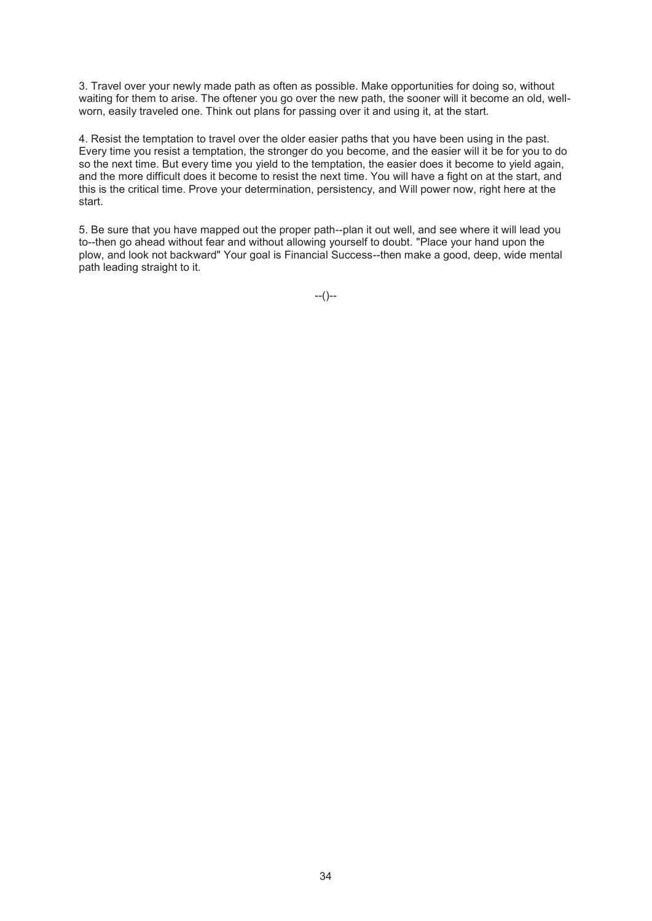3. Travel over your newly made path as often as possible. Make opportunities for doing so, without waiting for them to arise. The oftener you go over the new path, the sooner will it become an old, wellworn, easily traveled one. Think out plans for passing over it and using it, at the start.

4. Resist the temptation to travel over the older easier paths that you have been using in the past. Every time you resist a temptation, the stronger do you become, and the easier will it be for you to do so the next time. But every time you yield to the temptation, the easier does it become to yield again, and the more difficult does it become to resist the next time. You will have a fight on at the start, and this is the critical time. Prove your determination, persistency, and Will power now, right here at the start.

5. Be sure that you have mapped out the proper path--plan it out well, and see where it will lead you to--then go ahead without fear and without allowing yourself to doubt. "Place your hand upon the plow, and look not backward" Your goal is Financial Success--then make a good, deep, wide mental path leading straight to it.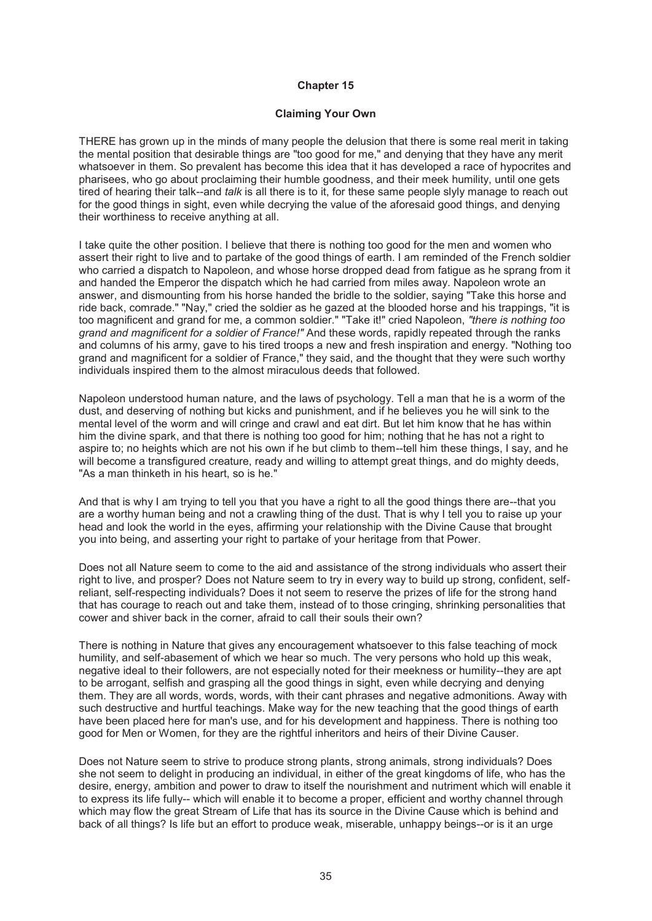#### **Claiming Your Own**

THERE has grown up in the minds of many people the delusion that there is some real merit in taking the mental position that desirable things are "too good for me," and denying that they have any merit whatsoever in them. So prevalent has become this idea that it has developed a race of hypocrites and pharisees, who go about proclaiming their humble goodness, and their meek humility, until one gets tired of hearing their talk--and *talk* is all there is to it, for these same people slyly manage to reach out for the good things in sight, even while decrying the value of the aforesaid good things, and denying their worthiness to receive anything at all.

I take quite the other position. I believe that there is nothing too good for the men and women who assert their right to live and to partake of the good things of earth. I am reminded of the French soldier who carried a dispatch to Napoleon, and whose horse dropped dead from fatigue as he sprang from it and handed the Emperor the dispatch which he had carried from miles away. Napoleon wrote an answer, and dismounting from his horse handed the bridle to the soldier, saying "Take this horse and ride back, comrade." "Nay," cried the soldier as he gazed at the blooded horse and his trappings, "it is too magnificent and grand for me, a common soldier." "Take it!" cried Napoleon, *"there is nothing too grand and magnificent for a soldier of France!"* And these words, rapidly repeated through the ranks and columns of his army, gave to his tired troops a new and fresh inspiration and energy. "Nothing too grand and magnificent for a soldier of France," they said, and the thought that they were such worthy individuals inspired them to the almost miraculous deeds that followed.

Napoleon understood human nature, and the laws of psychology. Tell a man that he is a worm of the dust, and deserving of nothing but kicks and punishment, and if he believes you he will sink to the mental level of the worm and will cringe and crawl and eat dirt. But let him know that he has within him the divine spark, and that there is nothing too good for him; nothing that he has not a right to aspire to; no heights which are not his own if he but climb to them--tell him these things, I say, and he will become a transfigured creature, ready and willing to attempt great things, and do mighty deeds, "As a man thinketh in his heart, so is he."

And that is why I am trying to tell you that you have a right to all the good things there are--that you are a worthy human being and not a crawling thing of the dust. That is why I tell you to raise up your head and look the world in the eyes, affirming your relationship with the Divine Cause that brought you into being, and asserting your right to partake of your heritage from that Power.

Does not all Nature seem to come to the aid and assistance of the strong individuals who assert their right to live, and prosper? Does not Nature seem to try in every way to build up strong, confident, selfreliant, self-respecting individuals? Does it not seem to reserve the prizes of life for the strong hand that has courage to reach out and take them, instead of to those cringing, shrinking personalities that cower and shiver back in the corner, afraid to call their souls their own?

There is nothing in Nature that gives any encouragement whatsoever to this false teaching of mock humility, and self-abasement of which we hear so much. The very persons who hold up this weak, negative ideal to their followers, are not especially noted for their meekness or humility--they are apt to be arrogant, selfish and grasping all the good things in sight, even while decrying and denying them. They are all words, words, words, with their cant phrases and negative admonitions. Away with such destructive and hurtful teachings. Make way for the new teaching that the good things of earth have been placed here for man's use, and for his development and happiness. There is nothing too good for Men or Women, for they are the rightful inheritors and heirs of their Divine Causer.

Does not Nature seem to strive to produce strong plants, strong animals, strong individuals? Does she not seem to delight in producing an individual, in either of the great kingdoms of life, who has the desire, energy, ambition and power to draw to itself the nourishment and nutriment which will enable it to express its life fully-- which will enable it to become a proper, efficient and worthy channel through which may flow the great Stream of Life that has its source in the Divine Cause which is behind and back of all things? Is life but an effort to produce weak, miserable, unhappy beings--or is it an urge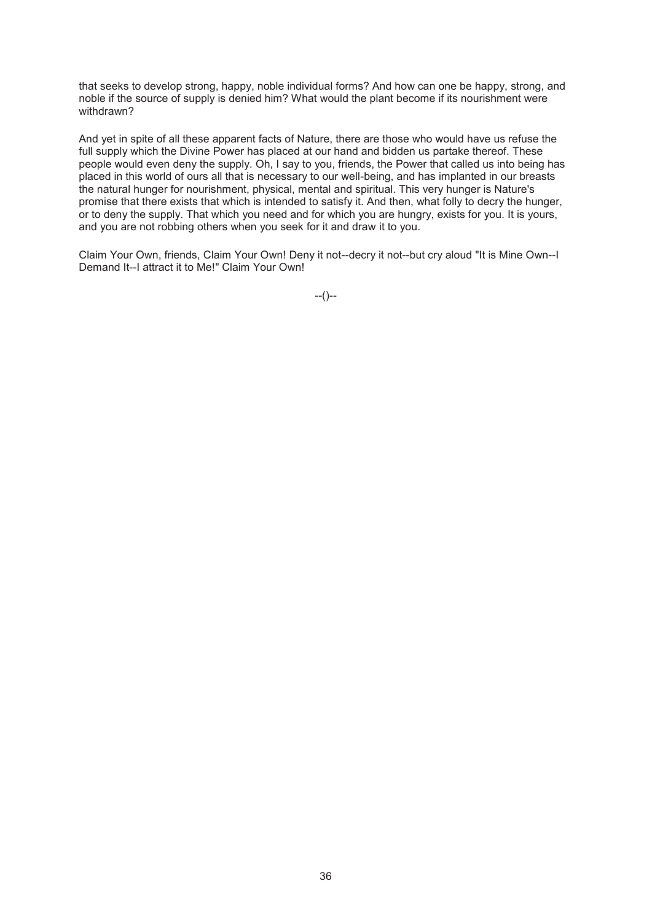that seeks to develop strong, happy, noble individual forms? And how can one be happy, strong, and noble if the source of supply is denied him? What would the plant become if its nourishment were withdrawn?

And yet in spite of all these apparent facts of Nature, there are those who would have us refuse the full supply which the Divine Power has placed at our hand and bidden us partake thereof. These people would even deny the supply. Oh, I say to you, friends, the Power that called us into being has placed in this world of ours all that is necessary to our well-being, and has implanted in our breasts the natural hunger for nourishment, physical, mental and spiritual. This very hunger is Nature's promise that there exists that which is intended to satisfy it. And then, what folly to decry the hunger, or to deny the supply. That which you need and for which you are hungry, exists for you. It is yours, and you are not robbing others when you seek for it and draw it to you.

Claim Your Own, friends, Claim Your Own! Deny it not--decry it not--but cry aloud "It is Mine Own--I Demand It--I attract it to Me!" Claim Your Own!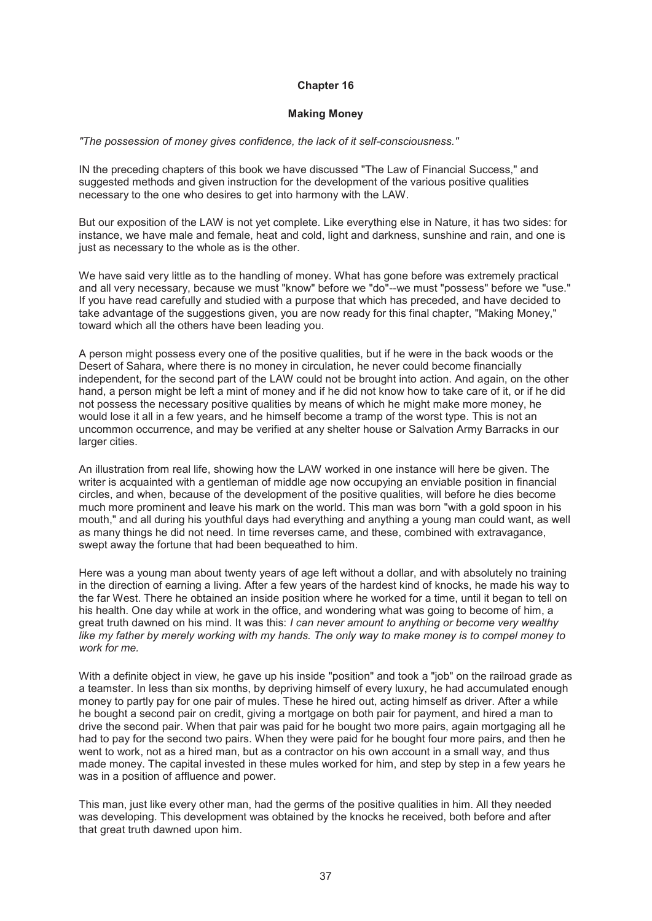#### **Making Money**

*"The possession of money gives confidence, the lack of it self-consciousness."* 

IN the preceding chapters of this book we have discussed "The Law of Financial Success," and suggested methods and given instruction for the development of the various positive qualities necessary to the one who desires to get into harmony with the LAW.

But our exposition of the LAW is not yet complete. Like everything else in Nature, it has two sides: for instance, we have male and female, heat and cold, light and darkness, sunshine and rain, and one is just as necessary to the whole as is the other.

We have said very little as to the handling of money. What has gone before was extremely practical and all very necessary, because we must "know" before we "do"--we must "possess" before we "use." If you have read carefully and studied with a purpose that which has preceded, and have decided to take advantage of the suggestions given, you are now ready for this final chapter, "Making Money," toward which all the others have been leading you.

A person might possess every one of the positive qualities, but if he were in the back woods or the Desert of Sahara, where there is no money in circulation, he never could become financially independent, for the second part of the LAW could not be brought into action. And again, on the other hand, a person might be left a mint of money and if he did not know how to take care of it, or if he did not possess the necessary positive qualities by means of which he might make more money, he would lose it all in a few years, and he himself become a tramp of the worst type. This is not an uncommon occurrence, and may be verified at any shelter house or Salvation Army Barracks in our larger cities.

An illustration from real life, showing how the LAW worked in one instance will here be given. The writer is acquainted with a gentleman of middle age now occupying an enviable position in financial circles, and when, because of the development of the positive qualities, will before he dies become much more prominent and leave his mark on the world. This man was born "with a gold spoon in his mouth," and all during his youthful days had everything and anything a young man could want, as well as many things he did not need. In time reverses came, and these, combined with extravagance, swept away the fortune that had been bequeathed to him.

Here was a young man about twenty years of age left without a dollar, and with absolutely no training in the direction of earning a living. After a few years of the hardest kind of knocks, he made his way to the far West. There he obtained an inside position where he worked for a time, until it began to tell on his health. One day while at work in the office, and wondering what was going to become of him, a great truth dawned on his mind. It was this: *I can never amount to anything or become very wealthy like my father by merely working with my hands. The only way to make money is to compel money to work for me.* 

With a definite object in view, he gave up his inside "position" and took a "job" on the railroad grade as a teamster. In less than six months, by depriving himself of every luxury, he had accumulated enough money to partly pay for one pair of mules. These he hired out, acting himself as driver. After a while he bought a second pair on credit, giving a mortgage on both pair for payment, and hired a man to drive the second pair. When that pair was paid for he bought two more pairs, again mortgaging all he had to pay for the second two pairs. When they were paid for he bought four more pairs, and then he went to work, not as a hired man, but as a contractor on his own account in a small way, and thus made money. The capital invested in these mules worked for him, and step by step in a few years he was in a position of affluence and power.

This man, just like every other man, had the germs of the positive qualities in him. All they needed was developing. This development was obtained by the knocks he received, both before and after that great truth dawned upon him.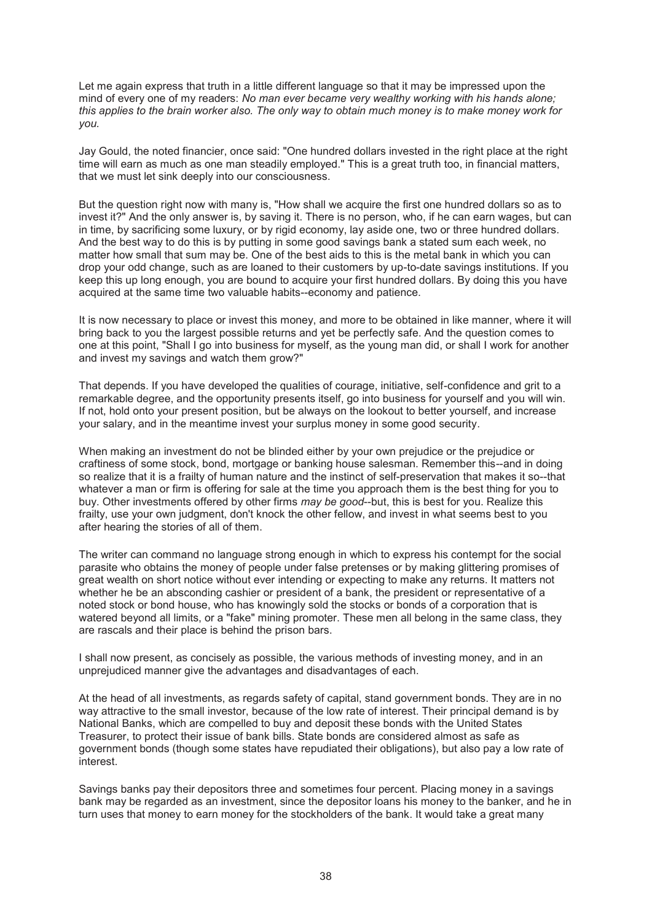Let me again express that truth in a little different language so that it may be impressed upon the mind of every one of my readers: *No man ever became very wealthy working with his hands alone; this applies to the brain worker also. The only way to obtain much money is to make money work for you.* 

Jay Gould, the noted financier, once said: "One hundred dollars invested in the right place at the right time will earn as much as one man steadily employed." This is a great truth too, in financial matters, that we must let sink deeply into our consciousness.

But the question right now with many is, "How shall we acquire the first one hundred dollars so as to invest it?" And the only answer is, by saving it. There is no person, who, if he can earn wages, but can in time, by sacrificing some luxury, or by rigid economy, lay aside one, two or three hundred dollars. And the best way to do this is by putting in some good savings bank a stated sum each week, no matter how small that sum may be. One of the best aids to this is the metal bank in which you can drop your odd change, such as are loaned to their customers by up-to-date savings institutions. If you keep this up long enough, you are bound to acquire your first hundred dollars. By doing this you have acquired at the same time two valuable habits--economy and patience.

It is now necessary to place or invest this money, and more to be obtained in like manner, where it will bring back to you the largest possible returns and yet be perfectly safe. And the question comes to one at this point, "Shall I go into business for myself, as the young man did, or shall I work for another and invest my savings and watch them grow?"

That depends. If you have developed the qualities of courage, initiative, self-confidence and grit to a remarkable degree, and the opportunity presents itself, go into business for yourself and you will win. If not, hold onto your present position, but be always on the lookout to better yourself, and increase your salary, and in the meantime invest your surplus money in some good security.

When making an investment do not be blinded either by your own prejudice or the prejudice or craftiness of some stock, bond, mortgage or banking house salesman. Remember this--and in doing so realize that it is a frailty of human nature and the instinct of self-preservation that makes it so--that whatever a man or firm is offering for sale at the time you approach them is the best thing for you to buy. Other investments offered by other firms *may be good*--but, this is best for you. Realize this frailty, use your own judgment, don't knock the other fellow, and invest in what seems best to you after hearing the stories of all of them.

The writer can command no language strong enough in which to express his contempt for the social parasite who obtains the money of people under false pretenses or by making glittering promises of great wealth on short notice without ever intending or expecting to make any returns. It matters not whether he be an absconding cashier or president of a bank, the president or representative of a noted stock or bond house, who has knowingly sold the stocks or bonds of a corporation that is watered beyond all limits, or a "fake" mining promoter. These men all belong in the same class, they are rascals and their place is behind the prison bars.

I shall now present, as concisely as possible, the various methods of investing money, and in an unprejudiced manner give the advantages and disadvantages of each.

At the head of all investments, as regards safety of capital, stand government bonds. They are in no way attractive to the small investor, because of the low rate of interest. Their principal demand is by National Banks, which are compelled to buy and deposit these bonds with the United States Treasurer, to protect their issue of bank bills. State bonds are considered almost as safe as government bonds (though some states have repudiated their obligations), but also pay a low rate of interest.

Savings banks pay their depositors three and sometimes four percent. Placing money in a savings bank may be regarded as an investment, since the depositor loans his money to the banker, and he in turn uses that money to earn money for the stockholders of the bank. It would take a great many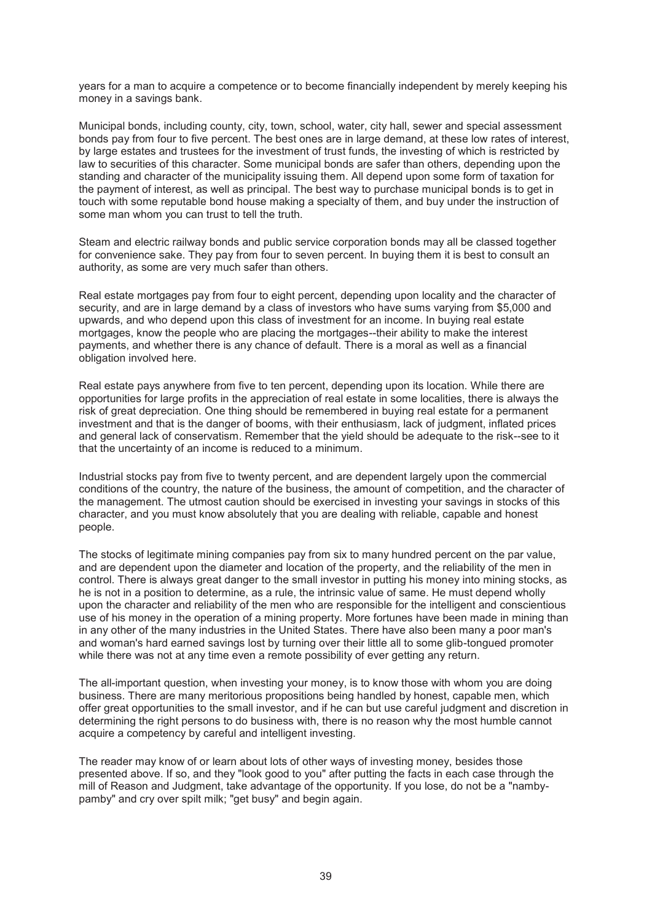years for a man to acquire a competence or to become financially independent by merely keeping his money in a savings bank.

Municipal bonds, including county, city, town, school, water, city hall, sewer and special assessment bonds pay from four to five percent. The best ones are in large demand, at these low rates of interest, by large estates and trustees for the investment of trust funds, the investing of which is restricted by law to securities of this character. Some municipal bonds are safer than others, depending upon the standing and character of the municipality issuing them. All depend upon some form of taxation for the payment of interest, as well as principal. The best way to purchase municipal bonds is to get in touch with some reputable bond house making a specialty of them, and buy under the instruction of some man whom you can trust to tell the truth.

Steam and electric railway bonds and public service corporation bonds may all be classed together for convenience sake. They pay from four to seven percent. In buying them it is best to consult an authority, as some are very much safer than others.

Real estate mortgages pay from four to eight percent, depending upon locality and the character of security, and are in large demand by a class of investors who have sums varying from \$5,000 and upwards, and who depend upon this class of investment for an income. In buying real estate mortgages, know the people who are placing the mortgages--their ability to make the interest payments, and whether there is any chance of default. There is a moral as well as a financial obligation involved here.

Real estate pays anywhere from five to ten percent, depending upon its location. While there are opportunities for large profits in the appreciation of real estate in some localities, there is always the risk of great depreciation. One thing should be remembered in buying real estate for a permanent investment and that is the danger of booms, with their enthusiasm, lack of judgment, inflated prices and general lack of conservatism. Remember that the yield should be adequate to the risk--see to it that the uncertainty of an income is reduced to a minimum.

Industrial stocks pay from five to twenty percent, and are dependent largely upon the commercial conditions of the country, the nature of the business, the amount of competition, and the character of the management. The utmost caution should be exercised in investing your savings in stocks of this character, and you must know absolutely that you are dealing with reliable, capable and honest people.

The stocks of legitimate mining companies pay from six to many hundred percent on the par value, and are dependent upon the diameter and location of the property, and the reliability of the men in control. There is always great danger to the small investor in putting his money into mining stocks, as he is not in a position to determine, as a rule, the intrinsic value of same. He must depend wholly upon the character and reliability of the men who are responsible for the intelligent and conscientious use of his money in the operation of a mining property. More fortunes have been made in mining than in any other of the many industries in the United States. There have also been many a poor man's and woman's hard earned savings lost by turning over their little all to some glib-tongued promoter while there was not at any time even a remote possibility of ever getting any return.

The all-important question, when investing your money, is to know those with whom you are doing business. There are many meritorious propositions being handled by honest, capable men, which offer great opportunities to the small investor, and if he can but use careful judgment and discretion in determining the right persons to do business with, there is no reason why the most humble cannot acquire a competency by careful and intelligent investing.

The reader may know of or learn about lots of other ways of investing money, besides those presented above. If so, and they "look good to you" after putting the facts in each case through the mill of Reason and Judgment, take advantage of the opportunity. If you lose, do not be a "nambypamby" and cry over spilt milk; "get busy" and begin again.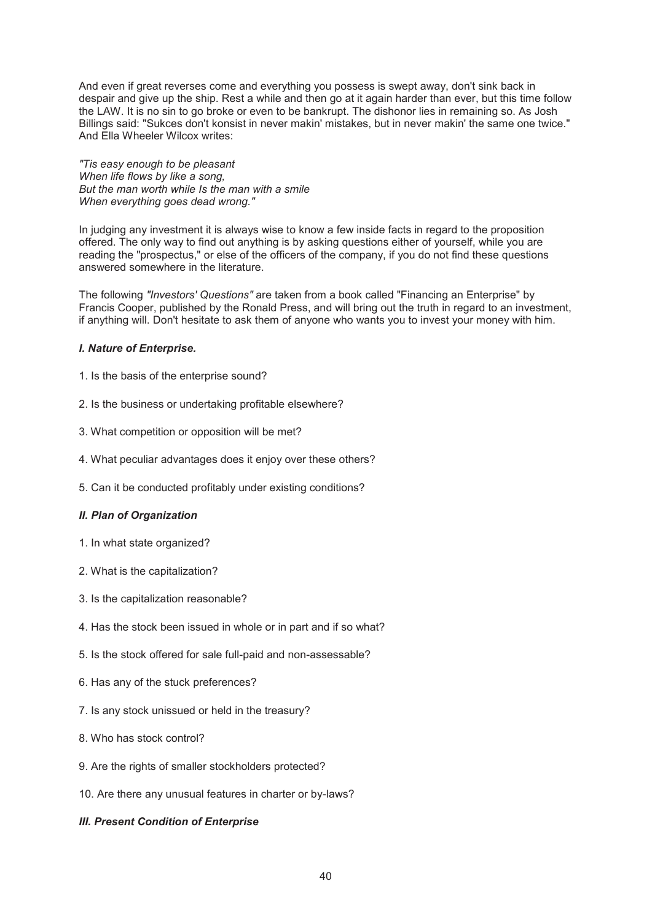And even if great reverses come and everything you possess is swept away, don't sink back in despair and give up the ship. Rest a while and then go at it again harder than ever, but this time follow the LAW. It is no sin to go broke or even to be bankrupt. The dishonor lies in remaining so. As Josh Billings said: "Sukces don't konsist in never makin' mistakes, but in never makin' the same one twice." And Ella Wheeler Wilcox writes:

*"Tis easy enough to be pleasant When life flows by like a song, But the man worth while Is the man with a smile When everything goes dead wrong."* 

In judging any investment it is always wise to know a few inside facts in regard to the proposition offered. The only way to find out anything is by asking questions either of yourself, while you are reading the "prospectus," or else of the officers of the company, if you do not find these questions answered somewhere in the literature.

The following *"Investors' Questions"* are taken from a book called "Financing an Enterprise" by Francis Cooper, published by the Ronald Press, and will bring out the truth in regard to an investment, if anything will. Don't hesitate to ask them of anyone who wants you to invest your money with him.

# *I. Nature of Enterprise.*

- 1. Is the basis of the enterprise sound?
- 2. Is the business or undertaking profitable elsewhere?
- 3. What competition or opposition will be met?
- 4. What peculiar advantages does it enjoy over these others?
- 5. Can it be conducted profitably under existing conditions?

# *II. Plan of Organization*

- 1. In what state organized?
- 2. What is the capitalization?
- 3. Is the capitalization reasonable?
- 4. Has the stock been issued in whole or in part and if so what?
- 5. Is the stock offered for sale full-paid and non-assessable?
- 6. Has any of the stuck preferences?
- 7. Is any stock unissued or held in the treasury?
- 8. Who has stock control?
- 9. Are the rights of smaller stockholders protected?
- 10. Are there any unusual features in charter or by-laws?

# *III. Present Condition of Enterprise*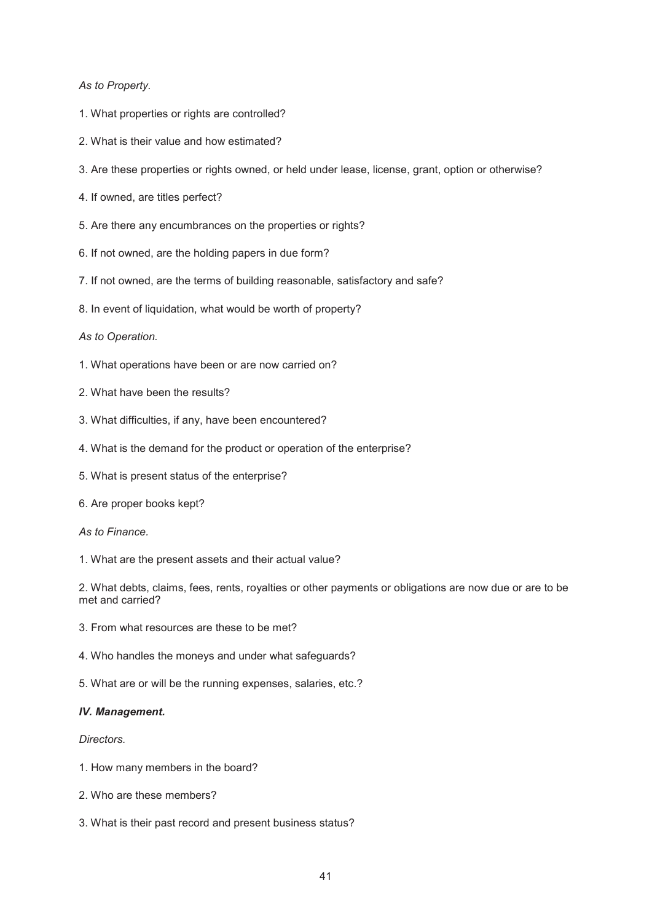# *As to Property.*

- 1. What properties or rights are controlled?
- 2. What is their value and how estimated?
- 3. Are these properties or rights owned, or held under lease, license, grant, option or otherwise?
- 4. If owned, are titles perfect?
- 5. Are there any encumbrances on the properties or rights?
- 6. If not owned, are the holding papers in due form?
- 7. If not owned, are the terms of building reasonable, satisfactory and safe?
- 8. In event of liquidation, what would be worth of property?

#### *As to Operation.*

- 1. What operations have been or are now carried on?
- 2. What have been the results?
- 3. What difficulties, if any, have been encountered?
- 4. What is the demand for the product or operation of the enterprise?
- 5. What is present status of the enterprise?
- 6. Are proper books kept?

*As to Finance.* 

1. What are the present assets and their actual value?

2. What debts, claims, fees, rents, royalties or other payments or obligations are now due or are to be met and carried?

- 3. From what resources are these to be met?
- 4. Who handles the moneys and under what safeguards?
- 5. What are or will be the running expenses, salaries, etc.?

#### *IV. Management.*

*Directors.* 

- 1. How many members in the board?
- 2. Who are these members?
- 3. What is their past record and present business status?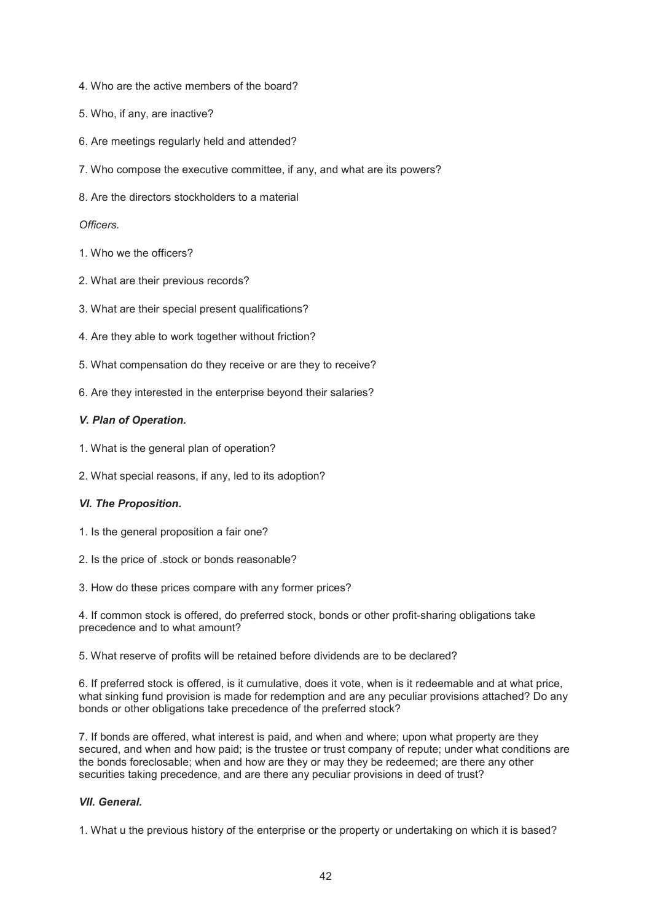- 4. Who are the active members of the board?
- 5. Who, if any, are inactive?
- 6. Are meetings regularly held and attended?
- 7. Who compose the executive committee, if any, and what are its powers?
- 8. Are the directors stockholders to a material

# *Officers.*

- 1. Who we the officers?
- 2. What are their previous records?
- 3. What are their special present qualifications?
- 4. Are they able to work together without friction?
- 5. What compensation do they receive or are they to receive?
- 6. Are they interested in the enterprise beyond their salaries?

# *V. Plan of Operation.*

- 1. What is the general plan of operation?
- 2. What special reasons, if any, led to its adoption?

#### *VI. The Proposition.*

- 1. Is the general proposition a fair one?
- 2. Is the price of .stock or bonds reasonable?
- 3. How do these prices compare with any former prices?

4. If common stock is offered, do preferred stock, bonds or other profit-sharing obligations take precedence and to what amount?

5. What reserve of profits will be retained before dividends are to be declared?

6. If preferred stock is offered, is it cumulative, does it vote, when is it redeemable and at what price, what sinking fund provision is made for redemption and are any peculiar provisions attached? Do any bonds or other obligations take precedence of the preferred stock?

7. If bonds are offered, what interest is paid, and when and where; upon what property are they secured, and when and how paid; is the trustee or trust company of repute; under what conditions are the bonds foreclosable; when and how are they or may they be redeemed; are there any other securities taking precedence, and are there any peculiar provisions in deed of trust?

# *VII. General.*

1. What u the previous history of the enterprise or the property or undertaking on which it is based?